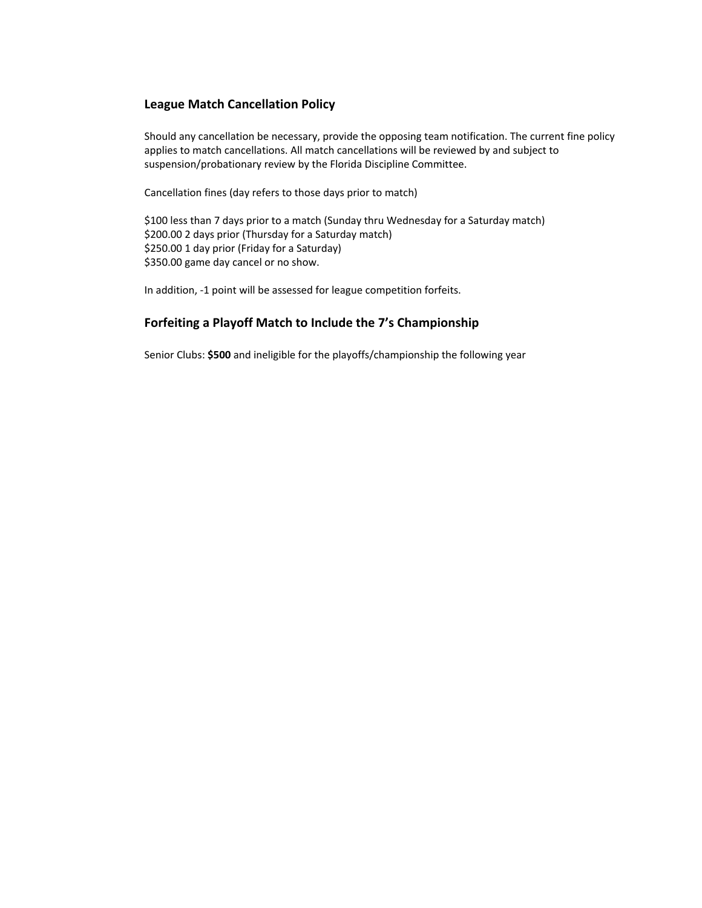# **League Match Cancellation Policy**

Should any cancellation be necessary, provide the opposing team notification. The current fine policy applies to match cancellations. All match cancellations will be reviewed by and subject to suspension/probationary review by the Florida Discipline Committee.

Cancellation fines (day refers to those days prior to match)

\$100 less than 7 days prior to a match (Sunday thru Wednesday for a Saturday match) \$200.00 2 days prior (Thursday for a Saturday match) \$250.00 1 day prior (Friday for a Saturday) \$350.00 game day cancel or no show.

In addition, -1 point will be assessed for league competition forfeits.

# **Forfeiting a Playoff Match to Include the 7's Championship**

Senior Clubs: **\$500** and ineligible for the playoffs/championship the following year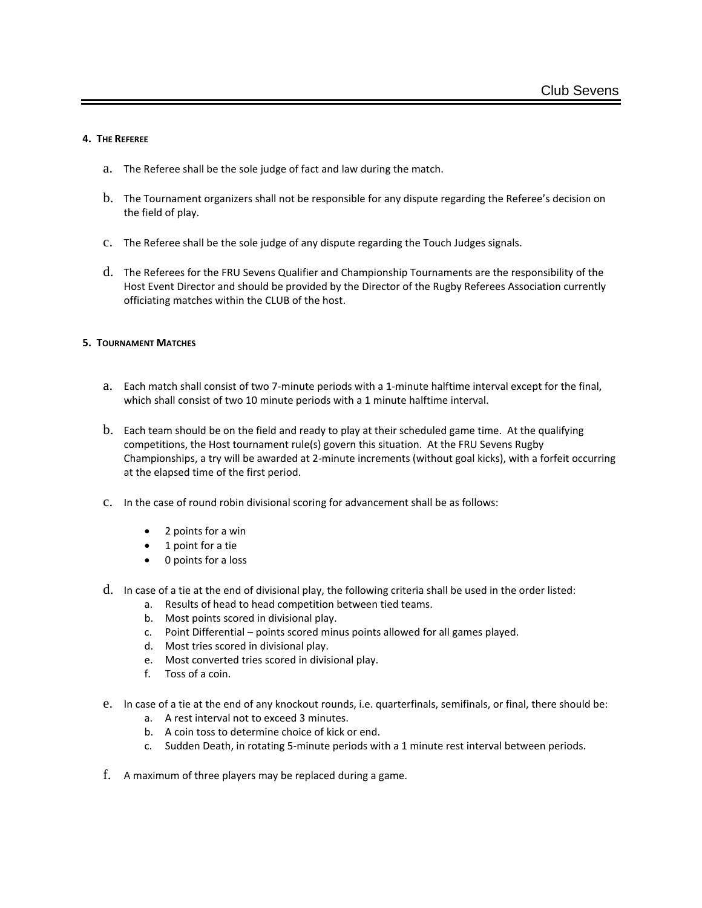### **4. THE REFEREE**

- a. The Referee shall be the sole judge of fact and law during the match.
- b. The Tournament organizers shall not be responsible for any dispute regarding the Referee's decision on the field of play.
- c. The Referee shall be the sole judge of any dispute regarding the Touch Judges signals.
- d. The Referees for the FRU Sevens Qualifier and Championship Tournaments are the responsibility of the Host Event Director and should be provided by the Director of the Rugby Referees Association currently officiating matches within the CLUB of the host.

### **5. TOURNAMENT MATCHES**

- a. Each match shall consist of two 7-minute periods with a 1-minute halftime interval except for the final, which shall consist of two 10 minute periods with a 1 minute halftime interval.
- b. Each team should be on the field and ready to play at their scheduled game time. At the qualifying competitions, the Host tournament rule(s) govern this situation. At the FRU Sevens Rugby Championships, a try will be awarded at 2-minute increments (without goal kicks), with a forfeit occurring at the elapsed time of the first period.
- c. In the case of round robin divisional scoring for advancement shall be as follows:
	- 2 points for a win
	- 1 point for a tie
	- 0 points for a loss
- d. In case of a tie at the end of divisional play, the following criteria shall be used in the order listed:
	- a. Results of head to head competition between tied teams.
	- b. Most points scored in divisional play.
	- c. Point Differential points scored minus points allowed for all games played.
	- d. Most tries scored in divisional play.
	- e. Most converted tries scored in divisional play.
	- f. Toss of a coin.
- e. In case of a tie at the end of any knockout rounds, i.e. quarterfinals, semifinals, or final, there should be:
	- a. A rest interval not to exceed 3 minutes.
	- b. A coin toss to determine choice of kick or end.
	- c. Sudden Death, in rotating 5-minute periods with a 1 minute rest interval between periods.
- f. A maximum of three players may be replaced during a game.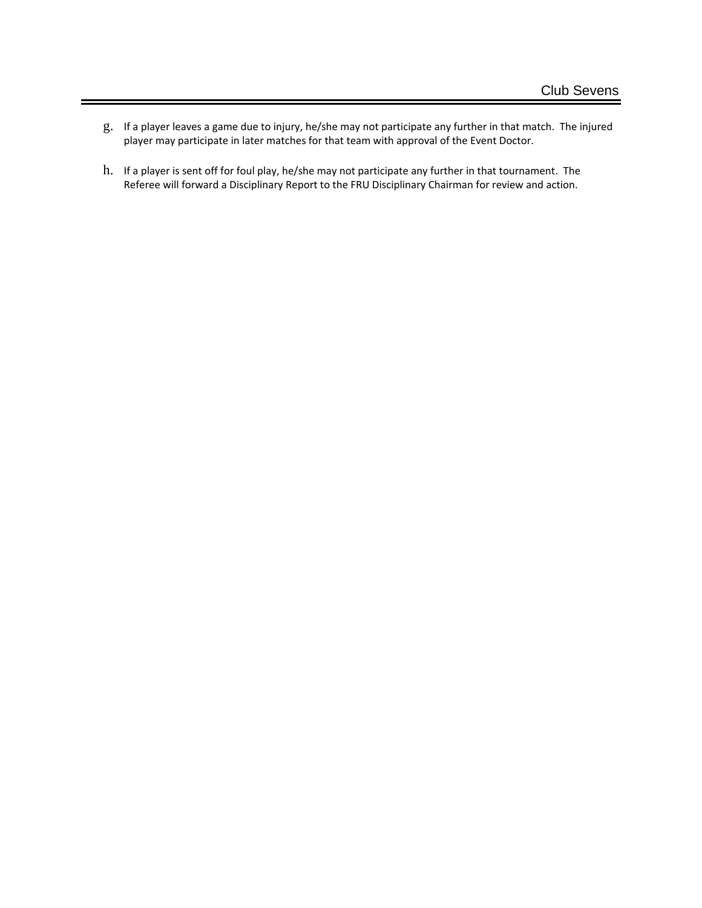- g. If a player leaves a game due to injury, he/she may not participate any further in that match. The injured player may participate in later matches for that team with approval of the Event Doctor.
- h. If a player is sent off for foul play, he/she may not participate any further in that tournament. The Referee will forward a Disciplinary Report to the FRU Disciplinary Chairman for review and action.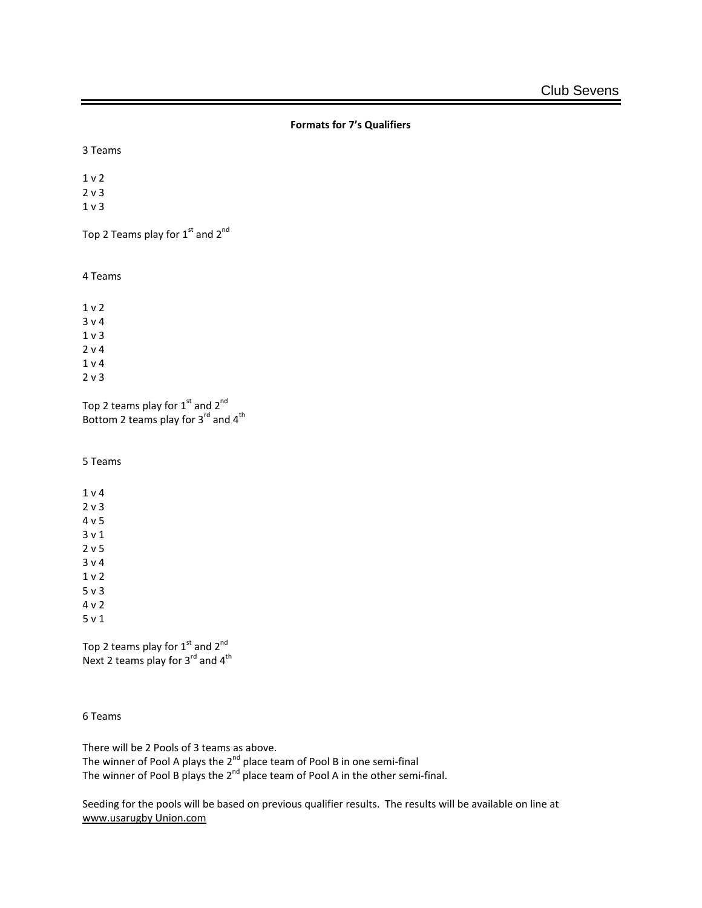```
Formats for 7's Qualifiers
```
3 Teams

Top 2 Teams play for 1<sup>st</sup> and 2<sup>nd</sup>

4 Teams

Top 2 teams play for  $1^{\text{st}}$  and  $2^{\text{nd}}$ Bottom 2 teams play for  $3^{\text{rd}}$  and  $4^{\text{th}}$ 

5 Teams

Top 2 teams play for  $1<sup>st</sup>$  and  $2<sup>nd</sup>$ Next 2 teams play for  $3^{rd}$  and  $4^{th}$ 

6 Teams

There will be 2 Pools of 3 teams as above. The winner of Pool A plays the 2<sup>nd</sup> place team of Pool B in one semi-final The winner of Pool B plays the 2<sup>nd</sup> place team of Pool A in the other semi-final.

Seeding for the pools will be based on previous qualifier results. The results will be available on line at [www.usarugby Union.com](http://www.usarugbysouth.com/)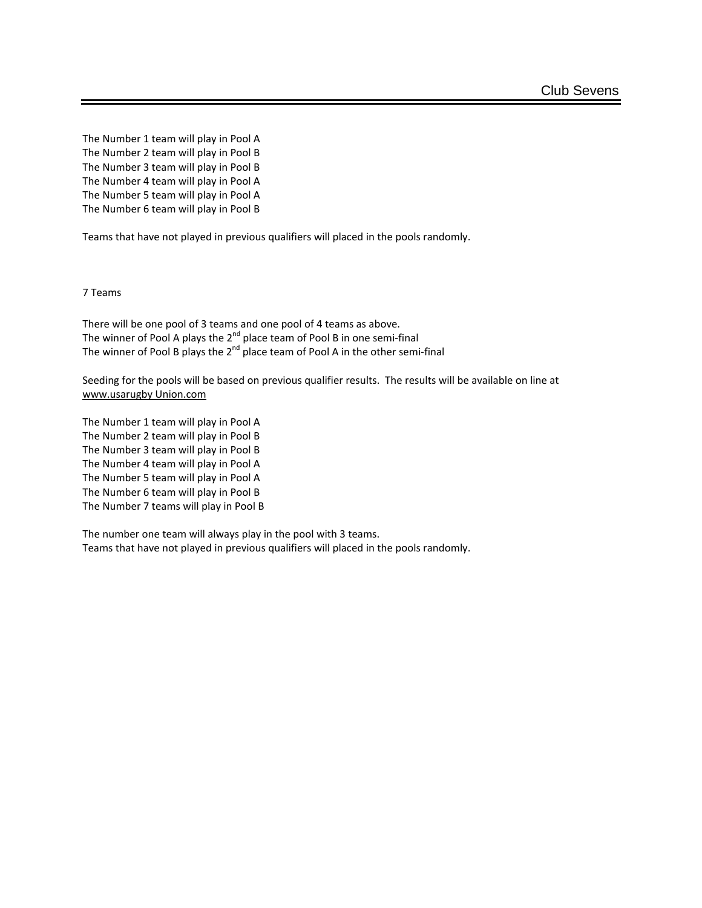The Number 1 team will play in Pool A The Number 2 team will play in Pool B The Number 3 team will play in Pool B The Number 4 team will play in Pool A The Number 5 team will play in Pool A The Number 6 team will play in Pool B

Teams that have not played in previous qualifiers will placed in the pools randomly.

7 Teams

There will be one pool of 3 teams and one pool of 4 teams as above. The winner of Pool A plays the 2<sup>nd</sup> place team of Pool B in one semi-final The winner of Pool B plays the 2<sup>nd</sup> place team of Pool A in the other semi-final

Seeding for the pools will be based on previous qualifier results. The results will be available on line at [www.usarugby Union.com](http://www.usarugbysouth.com/)

The Number 1 team will play in Pool A The Number 2 team will play in Pool B The Number 3 team will play in Pool B The Number 4 team will play in Pool A The Number 5 team will play in Pool A The Number 6 team will play in Pool B The Number 7 teams will play in Pool B

The number one team will always play in the pool with 3 teams. Teams that have not played in previous qualifiers will placed in the pools randomly.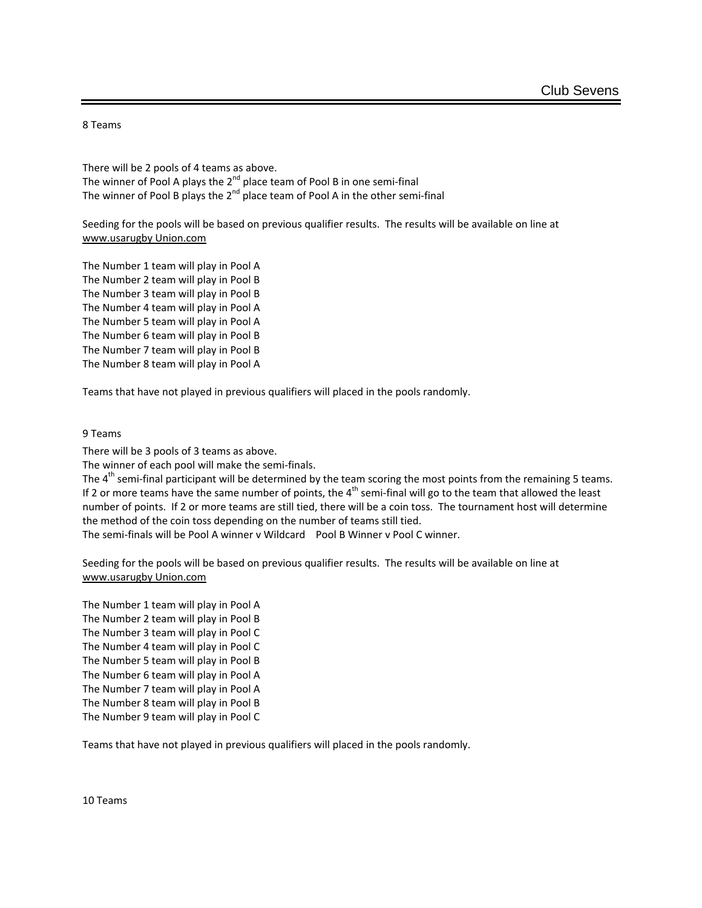8 Teams

There will be 2 pools of 4 teams as above. The winner of Pool A plays the  $2^{nd}$  place team of Pool B in one semi-final The winner of Pool B plays the  $2^{nd}$  place team of Pool A in the other semi-final

Seeding for the pools will be based on previous qualifier results. The results will be available on line at [www.usarugby Union.com](http://www.usarugbysouth.com/)

The Number 1 team will play in Pool A The Number 2 team will play in Pool B The Number 3 team will play in Pool B The Number 4 team will play in Pool A The Number 5 team will play in Pool A The Number 6 team will play in Pool B The Number 7 team will play in Pool B The Number 8 team will play in Pool A

Teams that have not played in previous qualifiers will placed in the pools randomly.

#### 9 Teams

There will be 3 pools of 3 teams as above.

The winner of each pool will make the semi-finals.

The  $4<sup>th</sup>$  semi-final participant will be determined by the team scoring the most points from the remaining 5 teams. If 2 or more teams have the same number of points, the  $4<sup>th</sup>$  semi-final will go to the team that allowed the least number of points. If 2 or more teams are still tied, there will be a coin toss. The tournament host will determine the method of the coin toss depending on the number of teams still tied.

The semi-finals will be Pool A winner v Wildcard Pool B Winner v Pool C winner.

Seeding for the pools will be based on previous qualifier results. The results will be available on line at [www.usarugby Union.com](http://www.usarugbysouth.com/)

The Number 1 team will play in Pool A The Number 2 team will play in Pool B The Number 3 team will play in Pool C The Number 4 team will play in Pool C The Number 5 team will play in Pool B The Number 6 team will play in Pool A The Number 7 team will play in Pool A The Number 8 team will play in Pool B The Number 9 team will play in Pool C

Teams that have not played in previous qualifiers will placed in the pools randomly.

10 Teams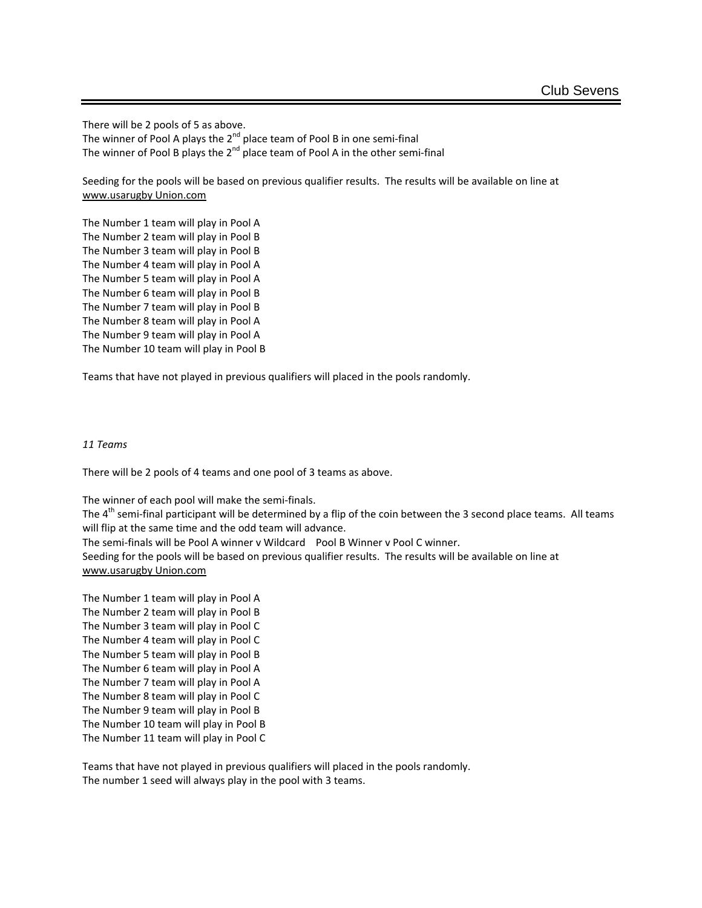There will be 2 pools of 5 as above.

The winner of Pool A plays the  $2^{nd}$  place team of Pool B in one semi-final The winner of Pool B plays the  $2^{nd}$  place team of Pool A in the other semi-final

Seeding for the pools will be based on previous qualifier results. The results will be available on line at [www.usarugby Union.com](http://www.usarugbysouth.com/)

The Number 1 team will play in Pool A The Number 2 team will play in Pool B The Number 3 team will play in Pool B The Number 4 team will play in Pool A The Number 5 team will play in Pool A The Number 6 team will play in Pool B The Number 7 team will play in Pool B The Number 8 team will play in Pool A The Number 9 team will play in Pool A The Number 10 team will play in Pool B

Teams that have not played in previous qualifiers will placed in the pools randomly.

### *11 Teams*

There will be 2 pools of 4 teams and one pool of 3 teams as above.

The winner of each pool will make the semi-finals. The 4<sup>th</sup> semi-final participant will be determined by a flip of the coin between the 3 second place teams. All teams will flip at the same time and the odd team will advance. The semi-finals will be Pool A winner v Wildcard Pool B Winner v Pool C winner. Seeding for the pools will be based on previous qualifier results. The results will be available on line at [www.usarugby Union.com](http://www.usarugbysouth.com/)

The Number 1 team will play in Pool A The Number 2 team will play in Pool B The Number 3 team will play in Pool C The Number 4 team will play in Pool C The Number 5 team will play in Pool B The Number 6 team will play in Pool A The Number 7 team will play in Pool A The Number 8 team will play in Pool C The Number 9 team will play in Pool B The Number 10 team will play in Pool B The Number 11 team will play in Pool C

Teams that have not played in previous qualifiers will placed in the pools randomly. The number 1 seed will always play in the pool with 3 teams.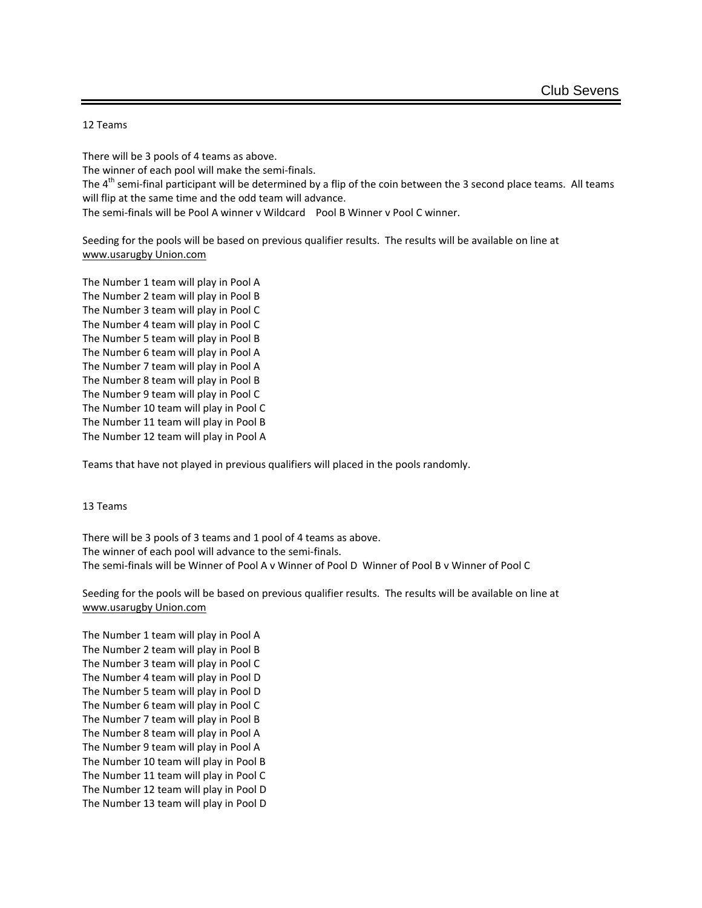### 12 Teams

There will be 3 pools of 4 teams as above. The winner of each pool will make the semi-finals. The  $4<sup>th</sup>$  semi-final participant will be determined by a flip of the coin between the 3 second place teams. All teams will flip at the same time and the odd team will advance. The semi-finals will be Pool A winner v Wildcard Pool B Winner v Pool C winner.

Seeding for the pools will be based on previous qualifier results. The results will be available on line at [www.usarugby Union.com](http://www.usarugbysouth.com/)

The Number 1 team will play in Pool A The Number 2 team will play in Pool B The Number 3 team will play in Pool C The Number 4 team will play in Pool C The Number 5 team will play in Pool B The Number 6 team will play in Pool A The Number 7 team will play in Pool A The Number 8 team will play in Pool B The Number 9 team will play in Pool C The Number 10 team will play in Pool C The Number 11 team will play in Pool B The Number 12 team will play in Pool A

Teams that have not played in previous qualifiers will placed in the pools randomly.

#### 13 Teams

There will be 3 pools of 3 teams and 1 pool of 4 teams as above. The winner of each pool will advance to the semi-finals. The semi-finals will be Winner of Pool A v Winner of Pool D Winner of Pool B v Winner of Pool C

Seeding for the pools will be based on previous qualifier results. The results will be available on line at [www.usarugby Union.com](http://www.usarugbysouth.com/)

The Number 1 team will play in Pool A The Number 2 team will play in Pool B The Number 3 team will play in Pool C The Number 4 team will play in Pool D The Number 5 team will play in Pool D The Number 6 team will play in Pool C The Number 7 team will play in Pool B The Number 8 team will play in Pool A The Number 9 team will play in Pool A The Number 10 team will play in Pool B The Number 11 team will play in Pool C The Number 12 team will play in Pool D The Number 13 team will play in Pool D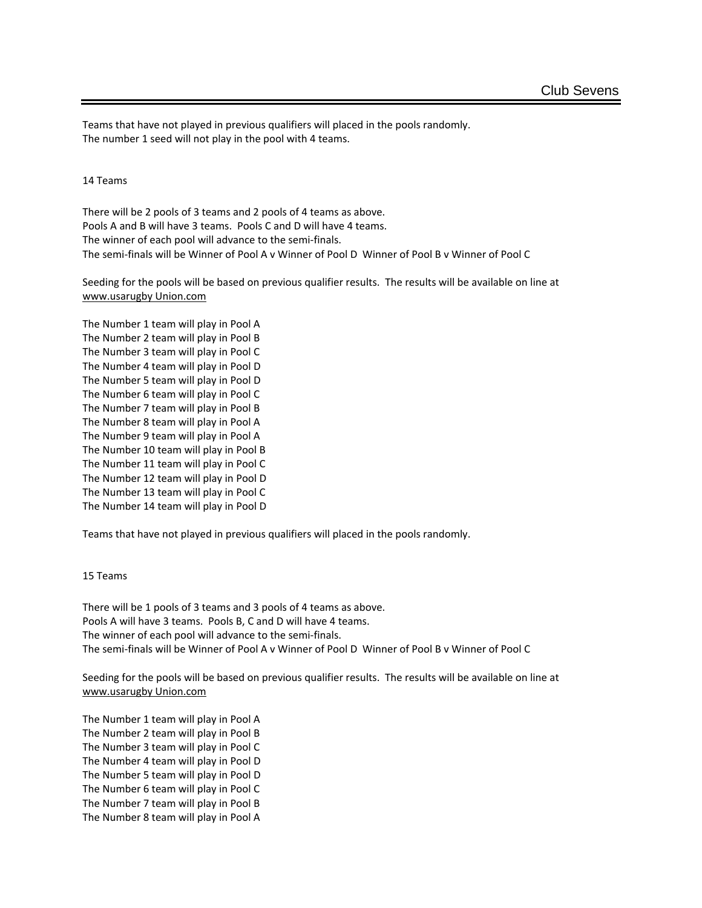Teams that have not played in previous qualifiers will placed in the pools randomly. The number 1 seed will not play in the pool with 4 teams.

14 Teams

There will be 2 pools of 3 teams and 2 pools of 4 teams as above. Pools A and B will have 3 teams. Pools C and D will have 4 teams. The winner of each pool will advance to the semi-finals. The semi-finals will be Winner of Pool A v Winner of Pool D Winner of Pool B v Winner of Pool C

Seeding for the pools will be based on previous qualifier results. The results will be available on line at [www.usarugby Union.com](http://www.usarugbysouth.com/)

The Number 1 team will play in Pool A The Number 2 team will play in Pool B The Number 3 team will play in Pool C The Number 4 team will play in Pool D The Number 5 team will play in Pool D The Number 6 team will play in Pool C The Number 7 team will play in Pool B The Number 8 team will play in Pool A The Number 9 team will play in Pool A The Number 10 team will play in Pool B The Number 11 team will play in Pool C The Number 12 team will play in Pool D The Number 13 team will play in Pool C The Number 14 team will play in Pool D

Teams that have not played in previous qualifiers will placed in the pools randomly.

#### 15 Teams

There will be 1 pools of 3 teams and 3 pools of 4 teams as above. Pools A will have 3 teams. Pools B, C and D will have 4 teams. The winner of each pool will advance to the semi-finals. The semi-finals will be Winner of Pool A v Winner of Pool D Winner of Pool B v Winner of Pool C

Seeding for the pools will be based on previous qualifier results. The results will be available on line at [www.usarugby Union.com](http://www.usarugbysouth.com/)

The Number 1 team will play in Pool A The Number 2 team will play in Pool B The Number 3 team will play in Pool C The Number 4 team will play in Pool D The Number 5 team will play in Pool D The Number 6 team will play in Pool C The Number 7 team will play in Pool B The Number 8 team will play in Pool A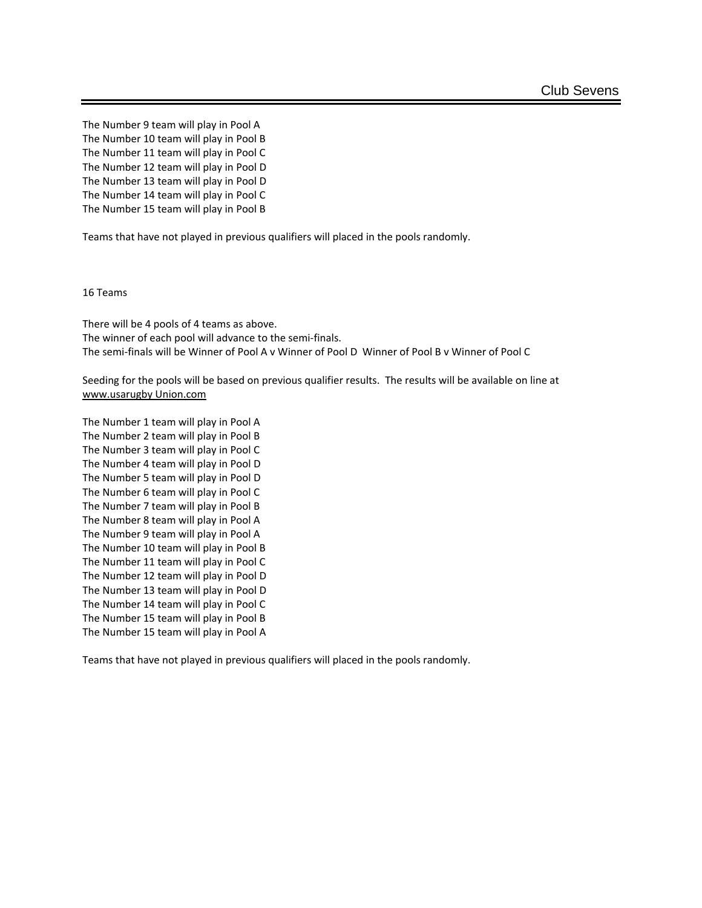The Number 9 team will play in Pool A The Number 10 team will play in Pool B The Number 11 team will play in Pool C The Number 12 team will play in Pool D The Number 13 team will play in Pool D The Number 14 team will play in Pool C The Number 15 team will play in Pool B

Teams that have not played in previous qualifiers will placed in the pools randomly.

16 Teams

There will be 4 pools of 4 teams as above. The winner of each pool will advance to the semi-finals. The semi-finals will be Winner of Pool A v Winner of Pool D Winner of Pool B v Winner of Pool C

Seeding for the pools will be based on previous qualifier results. The results will be available on line at [www.usarugby Union.com](http://www.usarugbysouth.com/)

The Number 1 team will play in Pool A The Number 2 team will play in Pool B The Number 3 team will play in Pool C The Number 4 team will play in Pool D The Number 5 team will play in Pool D The Number 6 team will play in Pool C The Number 7 team will play in Pool B The Number 8 team will play in Pool A The Number 9 team will play in Pool A The Number 10 team will play in Pool B The Number 11 team will play in Pool C The Number 12 team will play in Pool D The Number 13 team will play in Pool D The Number 14 team will play in Pool C The Number 15 team will play in Pool B The Number 15 team will play in Pool A

Teams that have not played in previous qualifiers will placed in the pools randomly.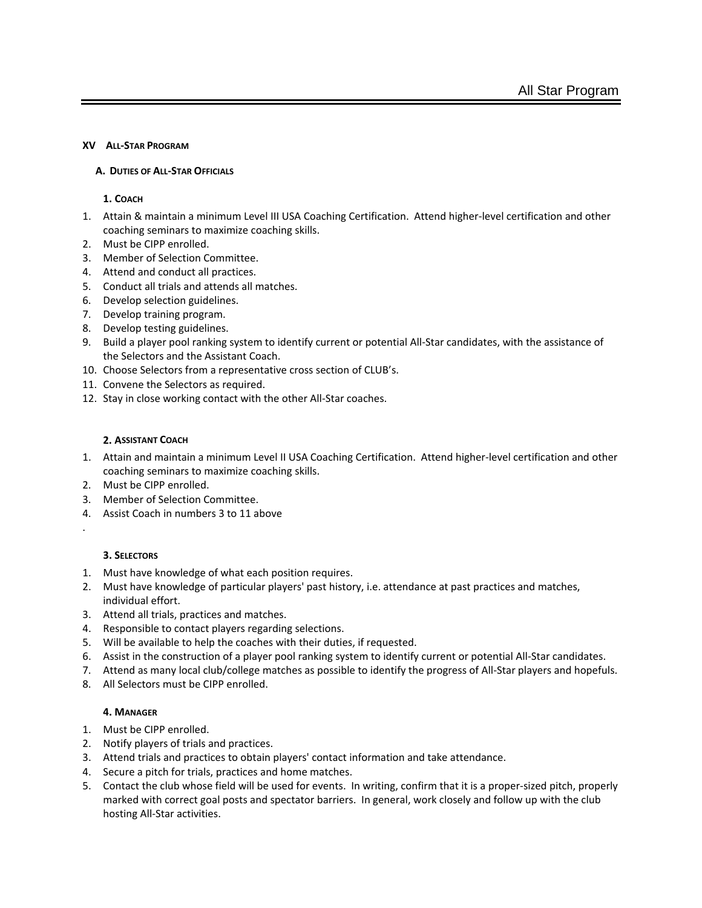### **XV ALL-STAR PROGRAM**

### **A. DUTIES OF ALL-STAR OFFICIALS**

### **1. COACH**

- 1. Attain & maintain a minimum Level III USA Coaching Certification. Attend higher-level certification and other coaching seminars to maximize coaching skills.
- 2. Must be CIPP enrolled.
- 3. Member of Selection Committee.
- 4. Attend and conduct all practices.
- 5. Conduct all trials and attends all matches.
- 6. Develop selection guidelines.
- 7. Develop training program.
- 8. Develop testing guidelines.
- 9. Build a player pool ranking system to identify current or potential All-Star candidates, with the assistance of the Selectors and the Assistant Coach.
- 10. Choose Selectors from a representative cross section of CLUB's.
- 11. Convene the Selectors as required.
- 12. Stay in close working contact with the other All-Star coaches.

# **2. ASSISTANT COACH**

- 1. Attain and maintain a minimum Level II USA Coaching Certification. Attend higher-level certification and other coaching seminars to maximize coaching skills.
- 2. Must be CIPP enrolled.
- 3. Member of Selection Committee.
- 4. Assist Coach in numbers 3 to 11 above
- .

# **3. SELECTORS**

- 1. Must have knowledge of what each position requires.
- 2. Must have knowledge of particular players' past history, i.e. attendance at past practices and matches, individual effort.
- 3. Attend all trials, practices and matches.
- 4. Responsible to contact players regarding selections.
- 5. Will be available to help the coaches with their duties, if requested.
- 6. Assist in the construction of a player pool ranking system to identify current or potential All-Star candidates.
- 7. Attend as many local club/college matches as possible to identify the progress of All-Star players and hopefuls.
- 8. All Selectors must be CIPP enrolled.

# **4. MANAGER**

- 1. Must be CIPP enrolled.
- 2. Notify players of trials and practices.
- 3. Attend trials and practices to obtain players' contact information and take attendance.
- 4. Secure a pitch for trials, practices and home matches.
- 5. Contact the club whose field will be used for events. In writing, confirm that it is a proper-sized pitch, properly marked with correct goal posts and spectator barriers. In general, work closely and follow up with the club hosting All-Star activities.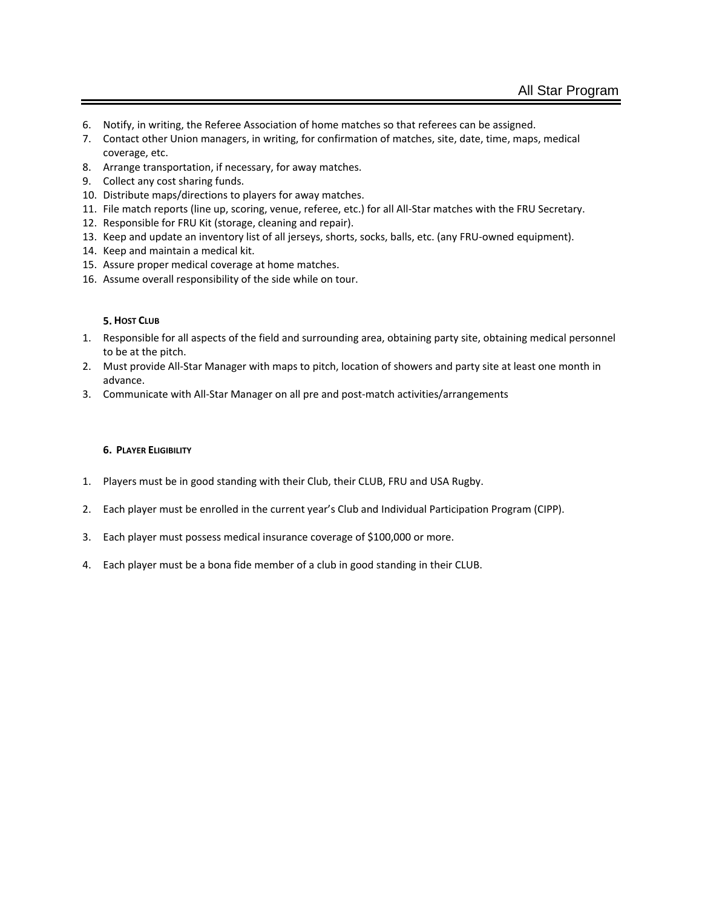- 6. Notify, in writing, the Referee Association of home matches so that referees can be assigned.
- 7. Contact other Union managers, in writing, for confirmation of matches, site, date, time, maps, medical coverage, etc.
- 8. Arrange transportation, if necessary, for away matches.
- 9. Collect any cost sharing funds.
- 10. Distribute maps/directions to players for away matches.
- 11. File match reports (line up, scoring, venue, referee, etc.) for all All-Star matches with the FRU Secretary.
- 12. Responsible for FRU Kit (storage, cleaning and repair).
- 13. Keep and update an inventory list of all jerseys, shorts, socks, balls, etc. (any FRU-owned equipment).
- 14. Keep and maintain a medical kit.
- 15. Assure proper medical coverage at home matches.
- 16. Assume overall responsibility of the side while on tour.

#### **5. HOST CLUB**

- 1. Responsible for all aspects of the field and surrounding area, obtaining party site, obtaining medical personnel to be at the pitch.
- 2. Must provide All-Star Manager with maps to pitch, location of showers and party site at least one month in advance.
- 3. Communicate with All-Star Manager on all pre and post-match activities/arrangements

#### **6. PLAYER ELIGIBILITY**

- 1. Players must be in good standing with their Club, their CLUB, FRU and USA Rugby.
- 2. Each player must be enrolled in the current year's Club and Individual Participation Program (CIPP).
- 3. Each player must possess medical insurance coverage of \$100,000 or more.
- 4. Each player must be a bona fide member of a club in good standing in their CLUB.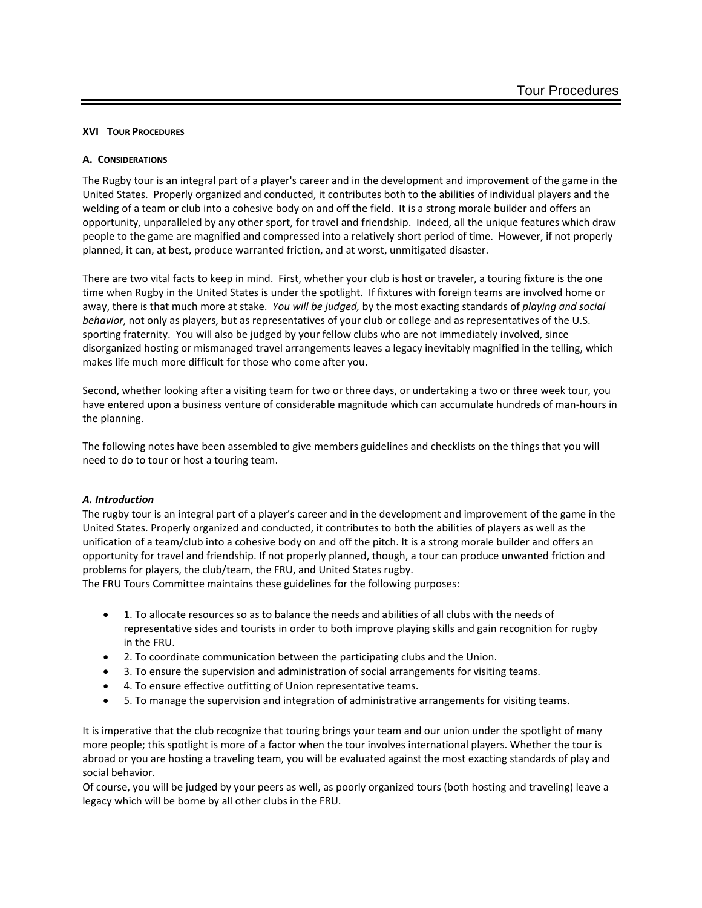### **XVI TOUR PROCEDURES**

### **A. CONSIDERATIONS**

The Rugby tour is an integral part of a player's career and in the development and improvement of the game in the United States. Properly organized and conducted, it contributes both to the abilities of individual players and the welding of a team or club into a cohesive body on and off the field. It is a strong morale builder and offers an opportunity, unparalleled by any other sport, for travel and friendship. Indeed, all the unique features which draw people to the game are magnified and compressed into a relatively short period of time. However, if not properly planned, it can, at best, produce warranted friction, and at worst, unmitigated disaster.

There are two vital facts to keep in mind. First, whether your club is host or traveler, a touring fixture is the one time when Rugby in the United States is under the spotlight. If fixtures with foreign teams are involved home or away, there is that much more at stake. *You will be judged,* by the most exacting standards of *playing and social behavior*, not only as players, but as representatives of your club or college and as representatives of the U.S. sporting fraternity. You will also be judged by your fellow clubs who are not immediately involved, since disorganized hosting or mismanaged travel arrangements leaves a legacy inevitably magnified in the telling, which makes life much more difficult for those who come after you.

Second, whether looking after a visiting team for two or three days, or undertaking a two or three week tour, you have entered upon a business venture of considerable magnitude which can accumulate hundreds of man-hours in the planning.

The following notes have been assembled to give members guidelines and checklists on the things that you will need to do to tour or host a touring team.

#### *A. Introduction*

The rugby tour is an integral part of a player's career and in the development and improvement of the game in the United States. Properly organized and conducted, it contributes to both the abilities of players as well as the unification of a team/club into a cohesive body on and off the pitch. It is a strong morale builder and offers an opportunity for travel and friendship. If not properly planned, though, a tour can produce unwanted friction and problems for players, the club/team, the FRU, and United States rugby.

The FRU Tours Committee maintains these guidelines for the following purposes:

- 1. To allocate resources so as to balance the needs and abilities of all clubs with the needs of representative sides and tourists in order to both improve playing skills and gain recognition for rugby in the FRU.
- 2. To coordinate communication between the participating clubs and the Union.
- 3. To ensure the supervision and administration of social arrangements for visiting teams.
- 4. To ensure effective outfitting of Union representative teams.
- 5. To manage the supervision and integration of administrative arrangements for visiting teams.

It is imperative that the club recognize that touring brings your team and our union under the spotlight of many more people; this spotlight is more of a factor when the tour involves international players. Whether the tour is abroad or you are hosting a traveling team, you will be evaluated against the most exacting standards of play and social behavior.

Of course, you will be judged by your peers as well, as poorly organized tours (both hosting and traveling) leave a legacy which will be borne by all other clubs in the FRU.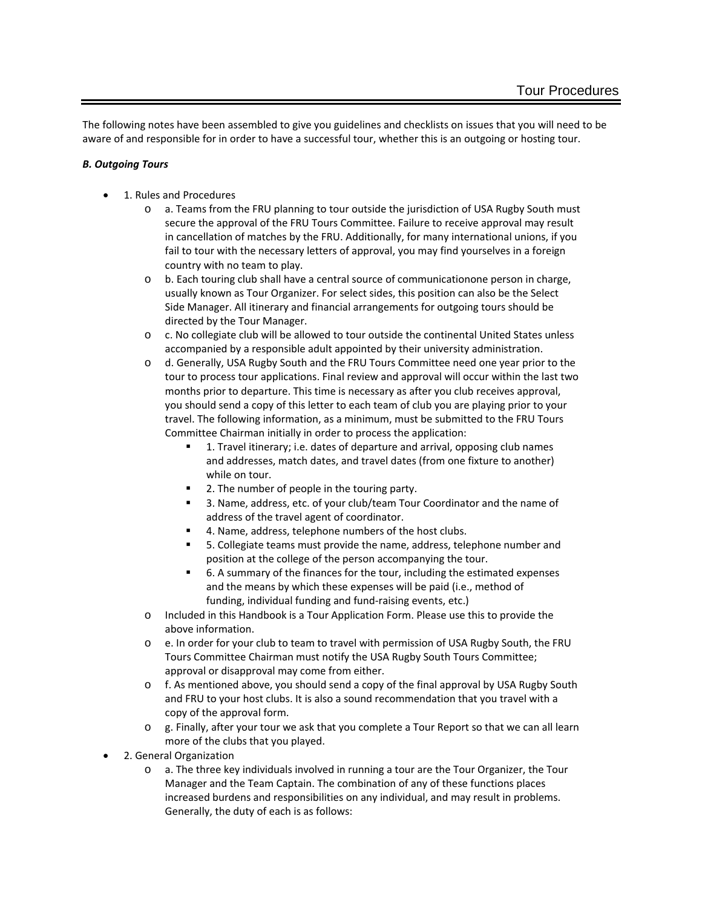The following notes have been assembled to give you guidelines and checklists on issues that you will need to be aware of and responsible for in order to have a successful tour, whether this is an outgoing or hosting tour.

# *B. Outgoing Tours*

- 1. Rules and Procedures
	- o a. Teams from the FRU planning to tour outside the jurisdiction of USA Rugby South must secure the approval of the FRU Tours Committee. Failure to receive approval may result in cancellation of matches by the FRU. Additionally, for many international unions, if you fail to tour with the necessary letters of approval, you may find yourselves in a foreign country with no team to play.
	- o b. Each touring club shall have a central source of communicationone person in charge, usually known as Tour Organizer. For select sides, this position can also be the Select Side Manager. All itinerary and financial arrangements for outgoing tours should be directed by the Tour Manager.
	- o c. No collegiate club will be allowed to tour outside the continental United States unless accompanied by a responsible adult appointed by their university administration.
	- o d. Generally, USA Rugby South and the FRU Tours Committee need one year prior to the tour to process tour applications. Final review and approval will occur within the last two months prior to departure. This time is necessary as after you club receives approval, you should send a copy of this letter to each team of club you are playing prior to your travel. The following information, as a minimum, must be submitted to the FRU Tours Committee Chairman initially in order to process the application:
		- 1. Travel itinerary; i.e. dates of departure and arrival, opposing club names and addresses, match dates, and travel dates (from one fixture to another) while on tour.
		- 2. The number of people in the touring party.
		- 3. Name, address, etc. of your club/team Tour Coordinator and the name of address of the travel agent of coordinator.
		- 4. Name, address, telephone numbers of the host clubs.
		- 5. Collegiate teams must provide the name, address, telephone number and position at the college of the person accompanying the tour.
		- 6. A summary of the finances for the tour, including the estimated expenses and the means by which these expenses will be paid (i.e., method of funding, individual funding and fund-raising events, etc.)
	- o Included in this Handbook is a Tour Application Form. Please use this to provide the above information.
	- o e. In order for your club to team to travel with permission of USA Rugby South, the FRU Tours Committee Chairman must notify the USA Rugby South Tours Committee; approval or disapproval may come from either.
	- o f. As mentioned above, you should send a copy of the final approval by USA Rugby South and FRU to your host clubs. It is also a sound recommendation that you travel with a copy of the approval form.
	- o g. Finally, after your tour we ask that you complete a Tour Report so that we can all learn more of the clubs that you played.
- 2. General Organization
	- o a. The three key individuals involved in running a tour are the Tour Organizer, the Tour Manager and the Team Captain. The combination of any of these functions places increased burdens and responsibilities on any individual, and may result in problems. Generally, the duty of each is as follows: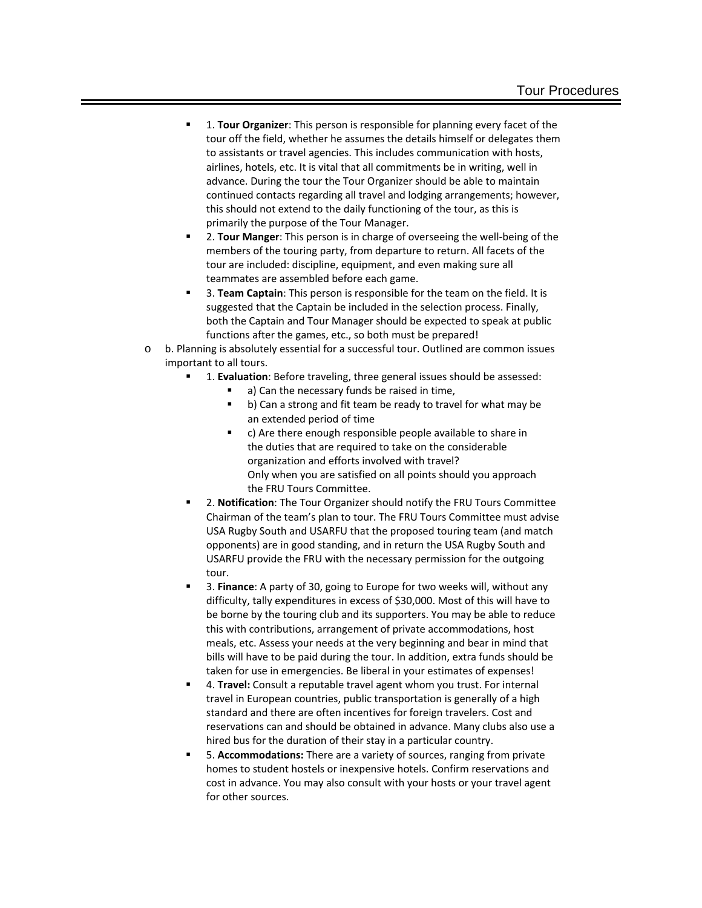- 1. **Tour Organizer**: This person is responsible for planning every facet of the tour off the field, whether he assumes the details himself or delegates them to assistants or travel agencies. This includes communication with hosts, airlines, hotels, etc. It is vital that all commitments be in writing, well in advance. During the tour the Tour Organizer should be able to maintain continued contacts regarding all travel and lodging arrangements; however, this should not extend to the daily functioning of the tour, as this is primarily the purpose of the Tour Manager.
- 2. **Tour Manger**: This person is in charge of overseeing the well-being of the members of the touring party, from departure to return. All facets of the tour are included: discipline, equipment, and even making sure all teammates are assembled before each game.
- 3. **Team Captain**: This person is responsible for the team on the field. It is suggested that the Captain be included in the selection process. Finally, both the Captain and Tour Manager should be expected to speak at public functions after the games, etc., so both must be prepared!
- o b. Planning is absolutely essential for a successful tour. Outlined are common issues important to all tours.
	- 1. **Evaluation**: Before traveling, three general issues should be assessed:
		- a) Can the necessary funds be raised in time,
		- b) Can a strong and fit team be ready to travel for what may be an extended period of time
		- c) Are there enough responsible people available to share in the duties that are required to take on the considerable organization and efforts involved with travel? Only when you are satisfied on all points should you approach the FRU Tours Committee.
	- 2. **Notification**: The Tour Organizer should notify the FRU Tours Committee Chairman of the team's plan to tour. The FRU Tours Committee must advise USA Rugby South and USARFU that the proposed touring team (and match opponents) are in good standing, and in return the USA Rugby South and USARFU provide the FRU with the necessary permission for the outgoing tour.
	- 3. **Finance**: A party of 30, going to Europe for two weeks will, without any difficulty, tally expenditures in excess of \$30,000. Most of this will have to be borne by the touring club and its supporters. You may be able to reduce this with contributions, arrangement of private accommodations, host meals, etc. Assess your needs at the very beginning and bear in mind that bills will have to be paid during the tour. In addition, extra funds should be taken for use in emergencies. Be liberal in your estimates of expenses!
	- 4. **Travel:** Consult a reputable travel agent whom you trust. For internal travel in European countries, public transportation is generally of a high standard and there are often incentives for foreign travelers. Cost and reservations can and should be obtained in advance. Many clubs also use a hired bus for the duration of their stay in a particular country.
	- 5. **Accommodations:** There are a variety of sources, ranging from private homes to student hostels or inexpensive hotels. Confirm reservations and cost in advance. You may also consult with your hosts or your travel agent for other sources.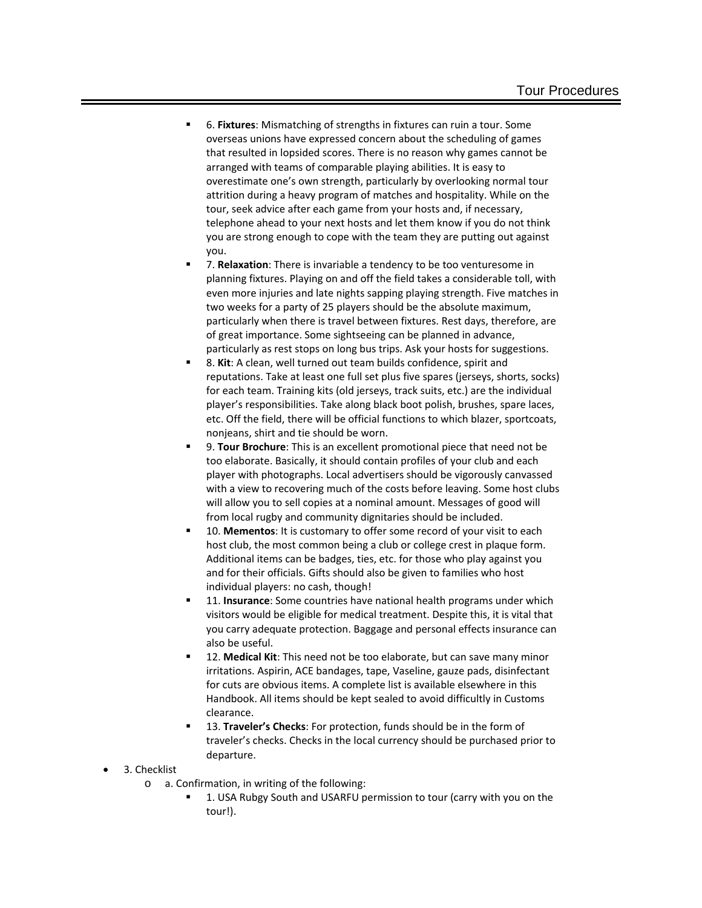- 6. **Fixtures**: Mismatching of strengths in fixtures can ruin a tour. Some overseas unions have expressed concern about the scheduling of games that resulted in lopsided scores. There is no reason why games cannot be arranged with teams of comparable playing abilities. It is easy to overestimate one's own strength, particularly by overlooking normal tour attrition during a heavy program of matches and hospitality. While on the tour, seek advice after each game from your hosts and, if necessary, telephone ahead to your next hosts and let them know if you do not think you are strong enough to cope with the team they are putting out against you.
- 7. **Relaxation**: There is invariable a tendency to be too venturesome in planning fixtures. Playing on and off the field takes a considerable toll, with even more injuries and late nights sapping playing strength. Five matches in two weeks for a party of 25 players should be the absolute maximum, particularly when there is travel between fixtures. Rest days, therefore, are of great importance. Some sightseeing can be planned in advance, particularly as rest stops on long bus trips. Ask your hosts for suggestions.
- 8. **Kit**: A clean, well turned out team builds confidence, spirit and reputations. Take at least one full set plus five spares (jerseys, shorts, socks) for each team. Training kits (old jerseys, track suits, etc.) are the individual player's responsibilities. Take along black boot polish, brushes, spare laces, etc. Off the field, there will be official functions to which blazer, sportcoats, nonjeans, shirt and tie should be worn.
- 9. **Tour Brochure**: This is an excellent promotional piece that need not be too elaborate. Basically, it should contain profiles of your club and each player with photographs. Local advertisers should be vigorously canvassed with a view to recovering much of the costs before leaving. Some host clubs will allow you to sell copies at a nominal amount. Messages of good will from local rugby and community dignitaries should be included.
- 10. **Mementos**: It is customary to offer some record of your visit to each host club, the most common being a club or college crest in plaque form. Additional items can be badges, ties, etc. for those who play against you and for their officials. Gifts should also be given to families who host individual players: no cash, though!
- 11. **Insurance**: Some countries have national health programs under which visitors would be eligible for medical treatment. Despite this, it is vital that you carry adequate protection. Baggage and personal effects insurance can also be useful.
- 12. **Medical Kit**: This need not be too elaborate, but can save many minor irritations. Aspirin, ACE bandages, tape, Vaseline, gauze pads, disinfectant for cuts are obvious items. A complete list is available elsewhere in this Handbook. All items should be kept sealed to avoid difficultly in Customs clearance.
- 13. **Traveler's Checks**: For protection, funds should be in the form of traveler's checks. Checks in the local currency should be purchased prior to departure.

• 3. Checklist

- o a. Confirmation, in writing of the following:
	- 1. USA Rubgy South and USARFU permission to tour (carry with you on the tour!).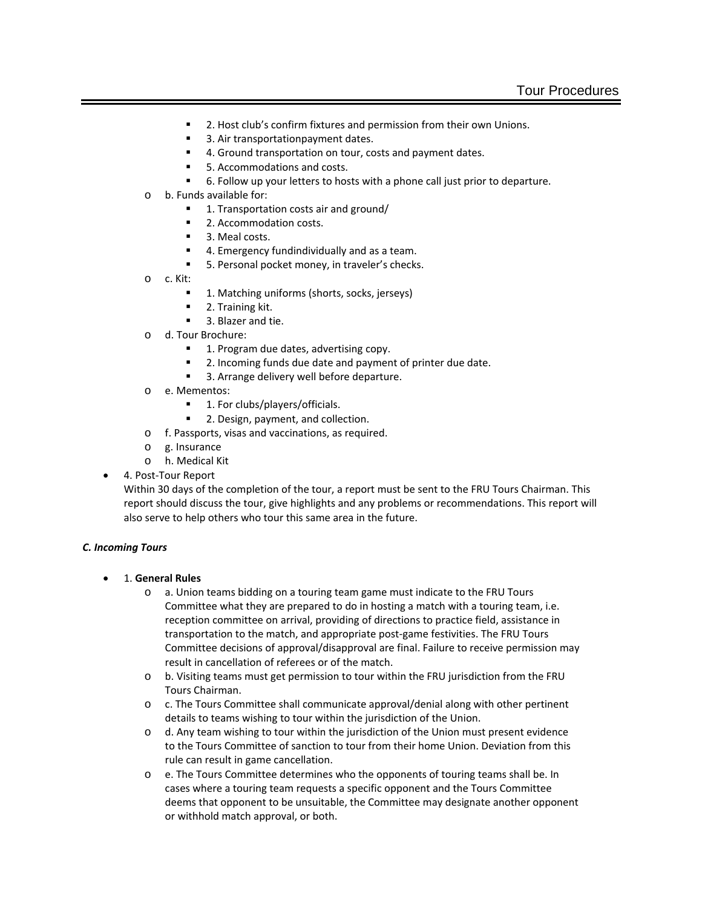- 2. Host club's confirm fixtures and permission from their own Unions.
- 3. Air transportationpayment dates.
- 4. Ground transportation on tour, costs and payment dates.
- 5. Accommodations and costs.
- 6. Follow up your letters to hosts with a phone call just prior to departure.
- o b. Funds available for:
	- <sup>1</sup> 1. Transportation costs air and ground/
	- 2. Accommodation costs.
	- 3. Meal costs.
	- 4. Emergency fundindividually and as a team.
	- 5. Personal pocket money, in traveler's checks.
- o c. Kit:
	- 1. Matching uniforms (shorts, socks, jerseys)
	- 2. Training kit.
	- 3. Blazer and tie.
- o d. Tour Brochure:
	- 1. Program due dates, advertising copy.
	- 2. Incoming funds due date and payment of printer due date.
	- 3. Arrange delivery well before departure.
- o e. Mementos:
	- 1. For clubs/players/officials.
	- 2. Design, payment, and collection.
- o f. Passports, visas and vaccinations, as required.
- o g. Insurance
- o h. Medical Kit
- 4. Post-Tour Report

Within 30 days of the completion of the tour, a report must be sent to the FRU Tours Chairman. This report should discuss the tour, give highlights and any problems or recommendations. This report will also serve to help others who tour this same area in the future.

# *C. Incoming Tours*

- 1. **General Rules**
	- o a. Union teams bidding on a touring team game must indicate to the FRU Tours Committee what they are prepared to do in hosting a match with a touring team, i.e. reception committee on arrival, providing of directions to practice field, assistance in transportation to the match, and appropriate post-game festivities. The FRU Tours Committee decisions of approval/disapproval are final. Failure to receive permission may result in cancellation of referees or of the match.
	- o b. Visiting teams must get permission to tour within the FRU jurisdiction from the FRU Tours Chairman.
	- o c. The Tours Committee shall communicate approval/denial along with other pertinent details to teams wishing to tour within the jurisdiction of the Union.
	- o d. Any team wishing to tour within the jurisdiction of the Union must present evidence to the Tours Committee of sanction to tour from their home Union. Deviation from this rule can result in game cancellation.
	- o e. The Tours Committee determines who the opponents of touring teams shall be. In cases where a touring team requests a specific opponent and the Tours Committee deems that opponent to be unsuitable, the Committee may designate another opponent or withhold match approval, or both.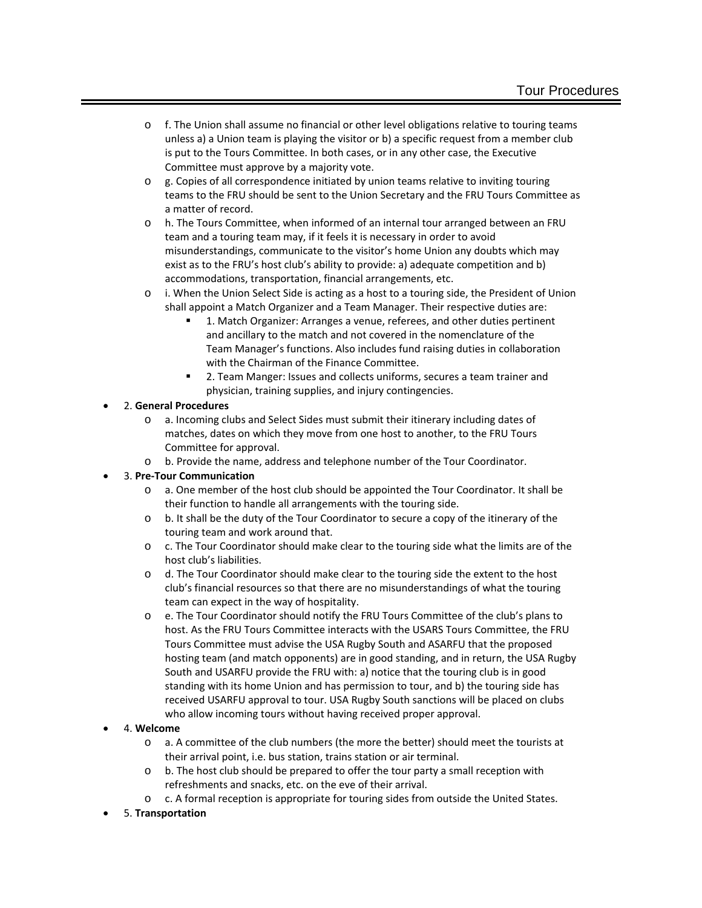- o f. The Union shall assume no financial or other level obligations relative to touring teams unless a) a Union team is playing the visitor or b) a specific request from a member club is put to the Tours Committee. In both cases, or in any other case, the Executive Committee must approve by a majority vote.
- $\circ$  g. Copies of all correspondence initiated by union teams relative to inviting touring teams to the FRU should be sent to the Union Secretary and the FRU Tours Committee as a matter of record.
- o h. The Tours Committee, when informed of an internal tour arranged between an FRU team and a touring team may, if it feels it is necessary in order to avoid misunderstandings, communicate to the visitor's home Union any doubts which may exist as to the FRU's host club's ability to provide: a) adequate competition and b) accommodations, transportation, financial arrangements, etc.
- $\circ$  i. When the Union Select Side is acting as a host to a touring side, the President of Union shall appoint a Match Organizer and a Team Manager. Their respective duties are:
	- 1. Match Organizer: Arranges a venue, referees, and other duties pertinent and ancillary to the match and not covered in the nomenclature of the Team Manager's functions. Also includes fund raising duties in collaboration with the Chairman of the Finance Committee.
	- 2. Team Manger: Issues and collects uniforms, secures a team trainer and physician, training supplies, and injury contingencies.

# • 2. **General Procedures**

- o a. Incoming clubs and Select Sides must submit their itinerary including dates of matches, dates on which they move from one host to another, to the FRU Tours Committee for approval.
- o b. Provide the name, address and telephone number of the Tour Coordinator.

# • 3. **Pre-Tour Communication**

- o a. One member of the host club should be appointed the Tour Coordinator. It shall be their function to handle all arrangements with the touring side.
- o b. It shall be the duty of the Tour Coordinator to secure a copy of the itinerary of the touring team and work around that.
- o c. The Tour Coordinator should make clear to the touring side what the limits are of the host club's liabilities.
- o d. The Tour Coordinator should make clear to the touring side the extent to the host club's financial resources so that there are no misunderstandings of what the touring team can expect in the way of hospitality.
- o e. The Tour Coordinator should notify the FRU Tours Committee of the club's plans to host. As the FRU Tours Committee interacts with the USARS Tours Committee, the FRU Tours Committee must advise the USA Rugby South and ASARFU that the proposed hosting team (and match opponents) are in good standing, and in return, the USA Rugby South and USARFU provide the FRU with: a) notice that the touring club is in good standing with its home Union and has permission to tour, and b) the touring side has received USARFU approval to tour. USA Rugby South sanctions will be placed on clubs who allow incoming tours without having received proper approval.

# • 4. **Welcome**

- o a. A committee of the club numbers (the more the better) should meet the tourists at their arrival point, i.e. bus station, trains station or air terminal.
- $\circ$  b. The host club should be prepared to offer the tour party a small reception with refreshments and snacks, etc. on the eve of their arrival.
- o c. A formal reception is appropriate for touring sides from outside the United States.
- 5. **Transportation**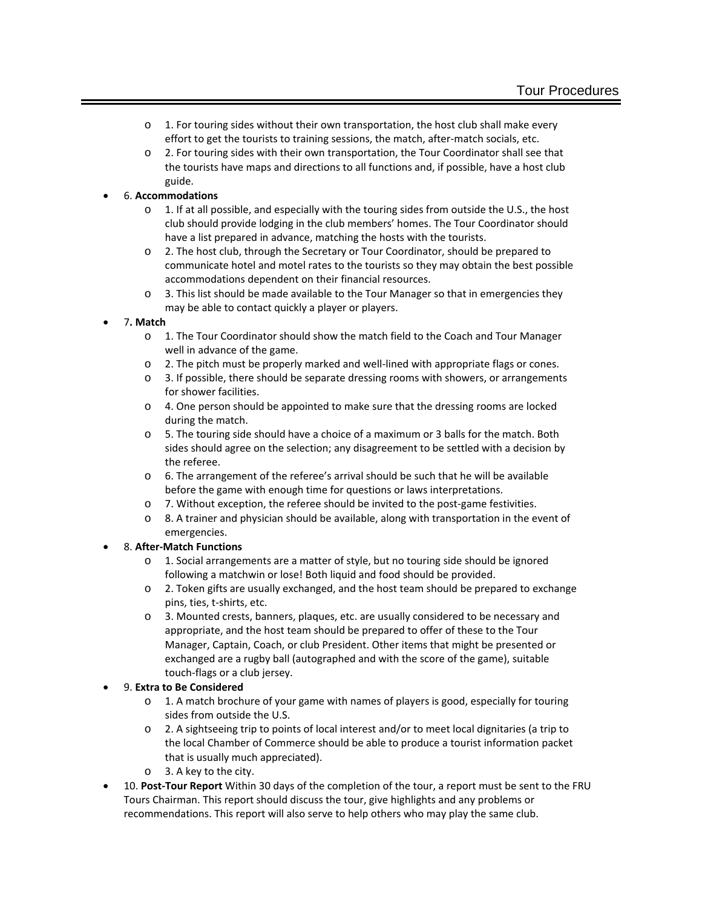- o 1. For touring sides without their own transportation, the host club shall make every effort to get the tourists to training sessions, the match, after-match socials, etc.
- o 2. For touring sides with their own transportation, the Tour Coordinator shall see that the tourists have maps and directions to all functions and, if possible, have a host club guide.

# • 6. **Accommodations**

- $\circ$  1. If at all possible, and especially with the touring sides from outside the U.S., the host club should provide lodging in the club members' homes. The Tour Coordinator should have a list prepared in advance, matching the hosts with the tourists.
- o 2. The host club, through the Secretary or Tour Coordinator, should be prepared to communicate hotel and motel rates to the tourists so they may obtain the best possible accommodations dependent on their financial resources.
- $\circ$  3. This list should be made available to the Tour Manager so that in emergencies they may be able to contact quickly a player or players.
- 7**. Match**
	- o 1. The Tour Coordinator should show the match field to the Coach and Tour Manager well in advance of the game.
	- o 2. The pitch must be properly marked and well-lined with appropriate flags or cones.
	- o 3. If possible, there should be separate dressing rooms with showers, or arrangements for shower facilities.
	- o 4. One person should be appointed to make sure that the dressing rooms are locked during the match.
	- o 5. The touring side should have a choice of a maximum or 3 balls for the match. Both sides should agree on the selection; any disagreement to be settled with a decision by the referee.
	- o 6. The arrangement of the referee's arrival should be such that he will be available before the game with enough time for questions or laws interpretations.
	- $\circ$  7. Without exception, the referee should be invited to the post-game festivities.
	- $\circ$  8. A trainer and physician should be available, along with transportation in the event of emergencies.

# • 8. **After-Match Functions**

- o 1. Social arrangements are a matter of style, but no touring side should be ignored following a matchwin or lose! Both liquid and food should be provided.
- o 2. Token gifts are usually exchanged, and the host team should be prepared to exchange pins, ties, t-shirts, etc.
- o 3. Mounted crests, banners, plaques, etc. are usually considered to be necessary and appropriate, and the host team should be prepared to offer of these to the Tour Manager, Captain, Coach, or club President. Other items that might be presented or exchanged are a rugby ball (autographed and with the score of the game), suitable touch-flags or a club jersey.

# • 9. **Extra to Be Considered**

- $\circ$  1. A match brochure of your game with names of players is good, especially for touring sides from outside the U.S.
- o 2. A sightseeing trip to points of local interest and/or to meet local dignitaries (a trip to the local Chamber of Commerce should be able to produce a tourist information packet that is usually much appreciated).
- o 3. A key to the city.
- 10. **Post-Tour Report** Within 30 days of the completion of the tour, a report must be sent to the FRU Tours Chairman. This report should discuss the tour, give highlights and any problems or recommendations. This report will also serve to help others who may play the same club.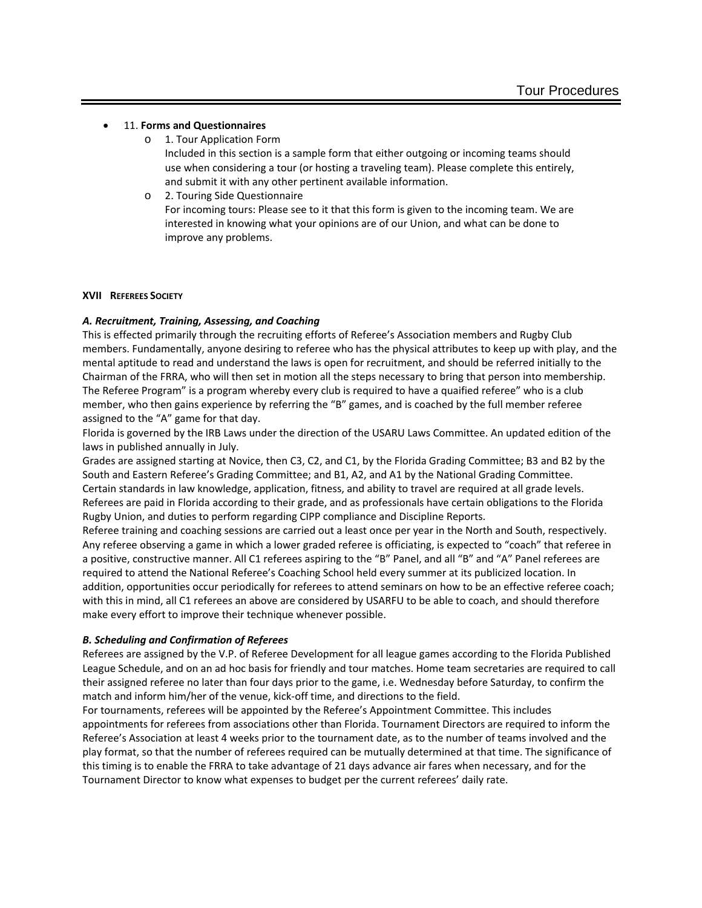#### • 11. **Forms and Questionnaires**

o 1. Tour Application Form

Included in this section is a sample form that either outgoing or incoming teams should use when considering a tour (or hosting a traveling team). Please complete this entirely, and submit it with any other pertinent available information.

o 2. Touring Side Questionnaire For incoming tours: Please see to it that this form is given to the incoming team. We are interested in knowing what your opinions are of our Union, and what can be done to improve any problems.

### **XVII REFEREES SOCIETY**

# *A. Recruitment, Training, Assessing, and Coaching*

This is effected primarily through the recruiting efforts of Referee's Association members and Rugby Club members. Fundamentally, anyone desiring to referee who has the physical attributes to keep up with play, and the mental aptitude to read and understand the laws is open for recruitment, and should be referred initially to the Chairman of the FRRA, who will then set in motion all the steps necessary to bring that person into membership. The Referee Program" is a program whereby every club is required to have a quaified referee" who is a club member, who then gains experience by referring the "B" games, and is coached by the full member referee assigned to the "A" game for that day.

Florida is governed by the IRB Laws under the direction of the USARU Laws Committee. An updated edition of the laws in published annually in July.

Grades are assigned starting at Novice, then C3, C2, and C1, by the Florida Grading Committee; B3 and B2 by the South and Eastern Referee's Grading Committee; and B1, A2, and A1 by the National Grading Committee. Certain standards in law knowledge, application, fitness, and ability to travel are required at all grade levels. Referees are paid in Florida according to their grade, and as professionals have certain obligations to the Florida Rugby Union, and duties to perform regarding CIPP compliance and Discipline Reports.

Referee training and coaching sessions are carried out a least once per year in the North and South, respectively. Any referee observing a game in which a lower graded referee is officiating, is expected to "coach" that referee in a positive, constructive manner. All C1 referees aspiring to the "B" Panel, and all "B" and "A" Panel referees are required to attend the National Referee's Coaching School held every summer at its publicized location. In addition, opportunities occur periodically for referees to attend seminars on how to be an effective referee coach; with this in mind, all C1 referees an above are considered by USARFU to be able to coach, and should therefore make every effort to improve their technique whenever possible.

# *B. Scheduling and Confirmation of Referees*

Referees are assigned by the V.P. of Referee Development for all league games according to the Florida Published League Schedule, and on an ad hoc basis for friendly and tour matches. Home team secretaries are required to call their assigned referee no later than four days prior to the game, i.e. Wednesday before Saturday, to confirm the match and inform him/her of the venue, kick-off time, and directions to the field.

For tournaments, referees will be appointed by the Referee's Appointment Committee. This includes appointments for referees from associations other than Florida. Tournament Directors are required to inform the Referee's Association at least 4 weeks prior to the tournament date, as to the number of teams involved and the play format, so that the number of referees required can be mutually determined at that time. The significance of this timing is to enable the FRRA to take advantage of 21 days advance air fares when necessary, and for the Tournament Director to know what expenses to budget per the current referees' daily rate.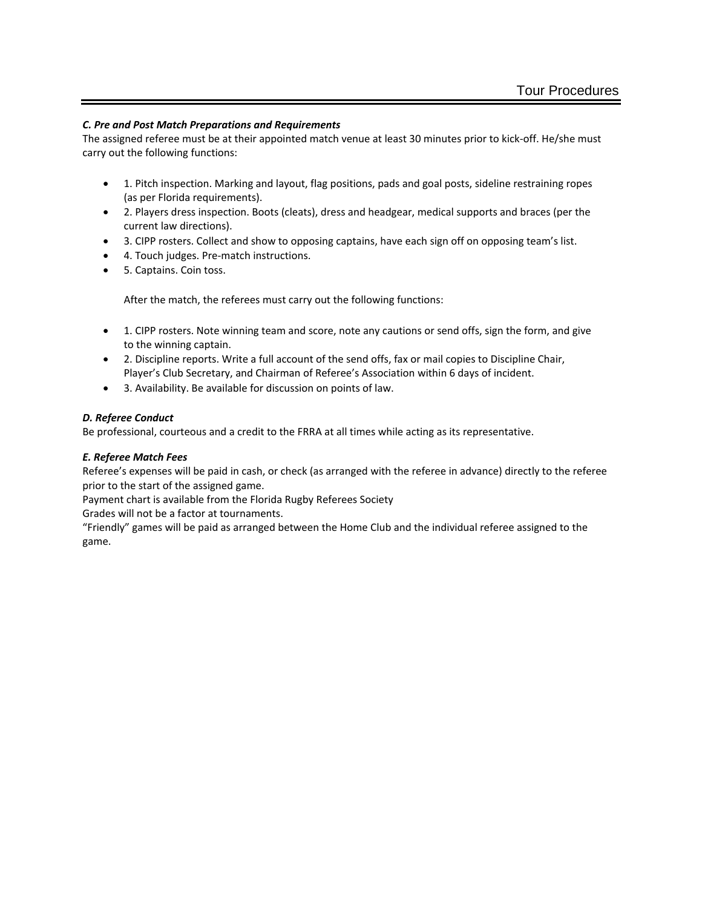# *C. Pre and Post Match Preparations and Requirements*

The assigned referee must be at their appointed match venue at least 30 minutes prior to kick-off. He/she must carry out the following functions:

- 1. Pitch inspection. Marking and layout, flag positions, pads and goal posts, sideline restraining ropes (as per Florida requirements).
- 2. Players dress inspection. Boots (cleats), dress and headgear, medical supports and braces (per the current law directions).
- 3. CIPP rosters. Collect and show to opposing captains, have each sign off on opposing team's list.
- 4. Touch judges. Pre-match instructions.
- 5. Captains. Coin toss.

After the match, the referees must carry out the following functions:

- 1. CIPP rosters. Note winning team and score, note any cautions or send offs, sign the form, and give to the winning captain.
- 2. Discipline reports. Write a full account of the send offs, fax or mail copies to Discipline Chair, Player's Club Secretary, and Chairman of Referee's Association within 6 days of incident.
- 3. Availability. Be available for discussion on points of law.

### *D. Referee Conduct*

Be professional, courteous and a credit to the FRRA at all times while acting as its representative.

# *E. Referee Match Fees*

Referee's expenses will be paid in cash, or check (as arranged with the referee in advance) directly to the referee prior to the start of the assigned game.

Payment chart is available from the Florida Rugby Referees Society

Grades will not be a factor at tournaments.

"Friendly" games will be paid as arranged between the Home Club and the individual referee assigned to the game.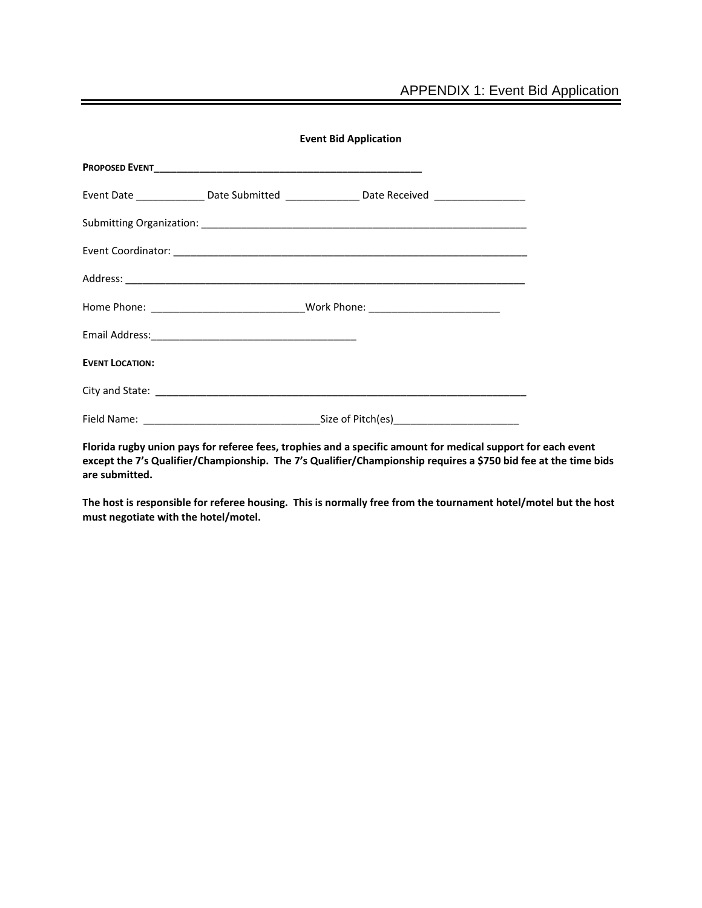|                        | <b>Event Bid Application</b>                                                                                                                                                                                                   |  |
|------------------------|--------------------------------------------------------------------------------------------------------------------------------------------------------------------------------------------------------------------------------|--|
|                        |                                                                                                                                                                                                                                |  |
|                        | Event Date ________________Date Submitted ___________________Date Received ________________________                                                                                                                            |  |
|                        |                                                                                                                                                                                                                                |  |
|                        | Event Coordinator: etc. by the coordinator of the coordinator of the coordinator of the coordinator of the coordinator of the coordinator of the coordinator of the coordinator of the coordinator of the coordinator of the c |  |
|                        |                                                                                                                                                                                                                                |  |
|                        | Home Phone: ___________________________________Work Phone: _____________________                                                                                                                                               |  |
|                        |                                                                                                                                                                                                                                |  |
| <b>EVENT LOCATION:</b> |                                                                                                                                                                                                                                |  |
|                        |                                                                                                                                                                                                                                |  |
|                        |                                                                                                                                                                                                                                |  |

**Florida rugby union pays for referee fees, trophies and a specific amount for medical support for each event except the 7's Qualifier/Championship. The 7's Qualifier/Championship requires a \$750 bid fee at the time bids are submitted.**

**The host is responsible for referee housing. This is normally free from the tournament hotel/motel but the host must negotiate with the hotel/motel.**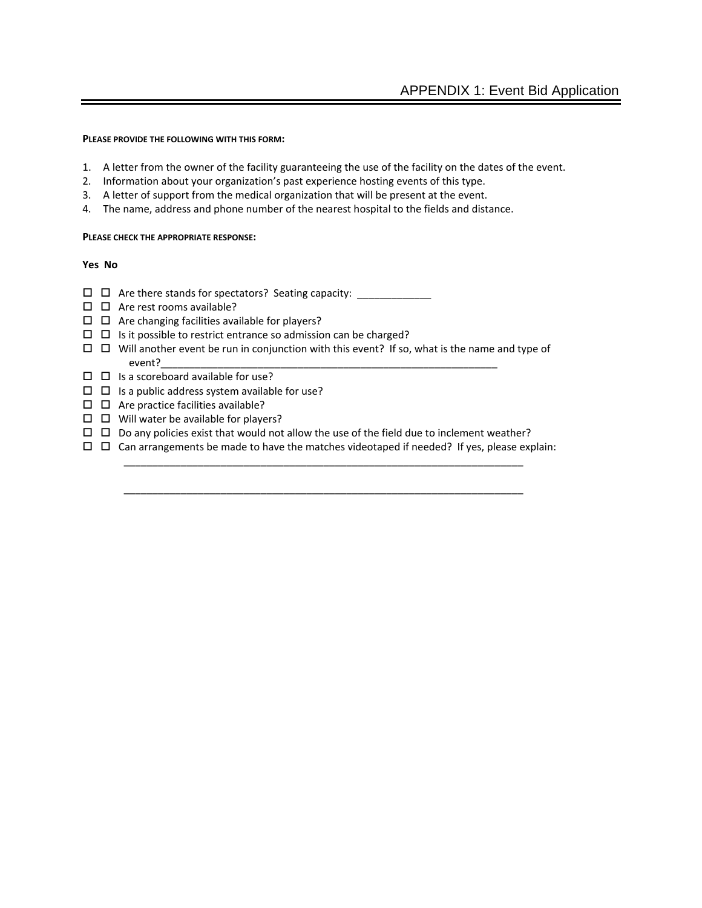#### **PLEASE PROVIDE THE FOLLOWING WITH THIS FORM:**

- 1. A letter from the owner of the facility guaranteeing the use of the facility on the dates of the event.
- 2. Information about your organization's past experience hosting events of this type.
- 3. A letter of support from the medical organization that will be present at the event.
- 4. The name, address and phone number of the nearest hospital to the fields and distance.

#### **PLEASE CHECK THE APPROPRIATE RESPONSE:**

#### **Yes No**

- $\Box$   $\Box$  Are there stands for spectators? Seating capacity:  $\Box$
- $\Box$   $\Box$  Are rest rooms available?
- $\square$   $\square$  Are changing facilities available for players?
- $\Box$   $\Box$  Is it possible to restrict entrance so admission can be charged?
- $\Box$   $\Box$  Will another event be run in conjunction with this event? If so, what is the name and type of event?\_\_\_\_\_\_\_\_\_\_\_\_\_\_\_\_\_\_\_\_\_\_\_\_\_\_\_\_\_\_\_\_\_\_\_\_\_\_\_\_\_\_\_\_\_\_\_\_\_\_\_\_\_\_\_\_\_\_\_
- $\Box$   $\Box$  Is a scoreboard available for use?
- $\Box$  Is a public address system available for use?
- $\square$   $\square$  Are practice facilities available?
- $\square$   $\square$  Will water be available for players?
- $\Box$   $\Box$  Do any policies exist that would not allow the use of the field due to inclement weather?
- $\Box$   $\Box$  Can arrangements be made to have the matches videotaped if needed? If yes, please explain: \_\_\_\_\_\_\_\_\_\_\_\_\_\_\_\_\_\_\_\_\_\_\_\_\_\_\_\_\_\_\_\_\_\_\_\_\_\_\_\_\_\_\_\_\_\_\_\_\_\_\_\_\_\_\_\_\_\_\_\_\_\_\_\_\_\_\_\_\_\_

\_\_\_\_\_\_\_\_\_\_\_\_\_\_\_\_\_\_\_\_\_\_\_\_\_\_\_\_\_\_\_\_\_\_\_\_\_\_\_\_\_\_\_\_\_\_\_\_\_\_\_\_\_\_\_\_\_\_\_\_\_\_\_\_\_\_\_\_\_\_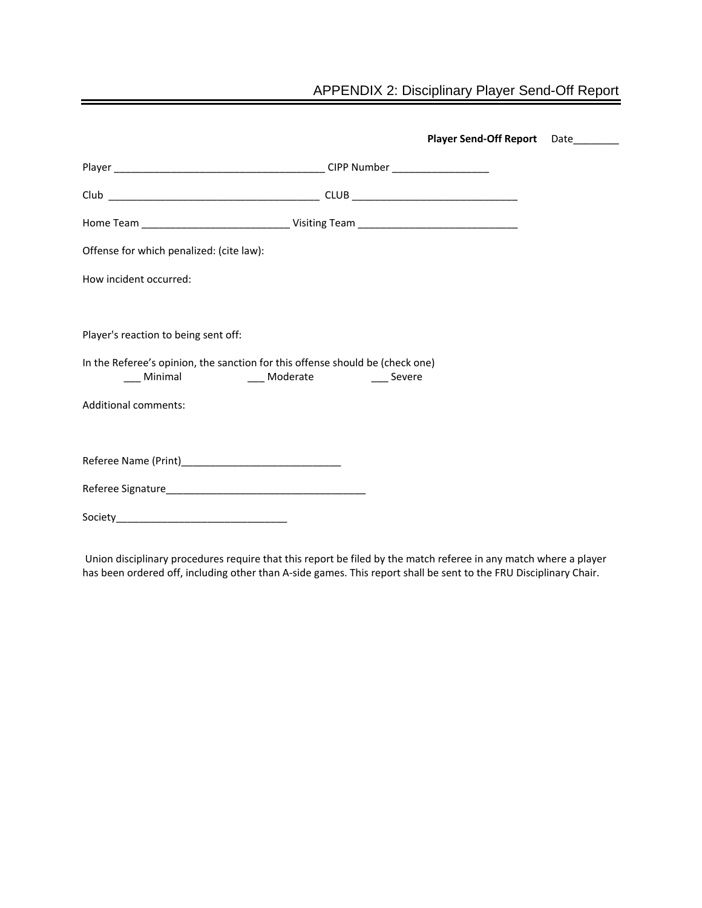# APPENDIX 2: Disciplinary Player Send-Off Report

|                                                                                                   | Player Send-Off Report Date |  |
|---------------------------------------------------------------------------------------------------|-----------------------------|--|
|                                                                                                   |                             |  |
|                                                                                                   |                             |  |
|                                                                                                   |                             |  |
| Offense for which penalized: (cite law):                                                          |                             |  |
| How incident occurred:                                                                            |                             |  |
|                                                                                                   |                             |  |
| Player's reaction to being sent off:                                                              |                             |  |
| In the Referee's opinion, the sanction for this offense should be (check one)<br>Minimal Moderate | <b>Severe</b>               |  |
| <b>Additional comments:</b>                                                                       |                             |  |
|                                                                                                   |                             |  |
|                                                                                                   |                             |  |
|                                                                                                   |                             |  |
|                                                                                                   |                             |  |
|                                                                                                   |                             |  |

Union disciplinary procedures require that this report be filed by the match referee in any match where a player has been ordered off, including other than A-side games. This report shall be sent to the FRU Disciplinary Chair.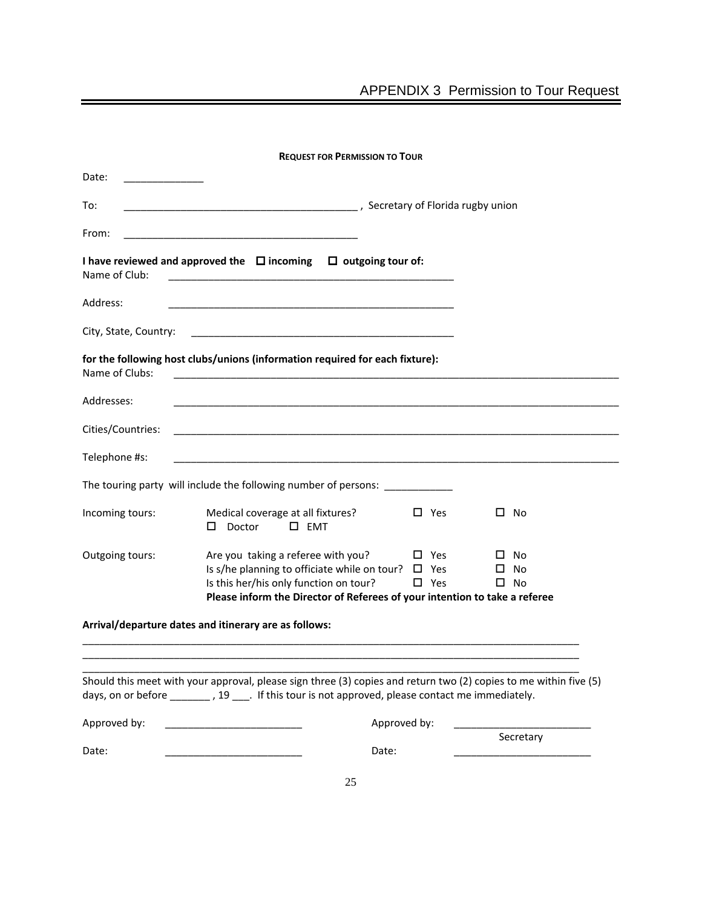| <b>REQUEST FOR PERMISSION TO TOUR</b> |                                                                                                                                                                                                                         |                             |                                 |  |  |  |  |
|---------------------------------------|-------------------------------------------------------------------------------------------------------------------------------------------------------------------------------------------------------------------------|-----------------------------|---------------------------------|--|--|--|--|
| Date:                                 |                                                                                                                                                                                                                         |                             |                                 |  |  |  |  |
| To:                                   | <b>Maritain Contract Contract Contract Contract Contract Contract Contract Contract Contract Contract Contract Co</b>                                                                                                   |                             |                                 |  |  |  |  |
| From:                                 |                                                                                                                                                                                                                         |                             |                                 |  |  |  |  |
| Name of Club:                         | I have reviewed and approved the $\Box$ incoming $\Box$ outgoing tour of:<br><u> 1989 - Johann Harry Harry Harry Harry Harry Harry Harry Harry Harry Harry Harry Harry Harry Harry Harry Harry</u>                      |                             |                                 |  |  |  |  |
| Address:                              | <u> 1989 - Johann Harry Harry Harry Harry Harry Harry Harry Harry Harry Harry Harry Harry Harry Harry Harry Harry</u>                                                                                                   |                             |                                 |  |  |  |  |
| City, State, Country:                 |                                                                                                                                                                                                                         |                             |                                 |  |  |  |  |
| Name of Clubs:                        | for the following host clubs/unions (information required for each fixture):                                                                                                                                            |                             |                                 |  |  |  |  |
| Addresses:                            |                                                                                                                                                                                                                         |                             |                                 |  |  |  |  |
| Cities/Countries:                     |                                                                                                                                                                                                                         |                             |                                 |  |  |  |  |
| Telephone #s:                         |                                                                                                                                                                                                                         |                             |                                 |  |  |  |  |
|                                       | The touring party will include the following number of persons:                                                                                                                                                         |                             |                                 |  |  |  |  |
| Incoming tours:                       | Medical coverage at all fixtures?<br>$\square$ EMT<br>Doctor<br>□                                                                                                                                                       | $\Box$ Yes                  | $\square$ No                    |  |  |  |  |
| Outgoing tours:                       | Are you taking a referee with you?<br>Is s/he planning to officiate while on tour? $\Box$ Yes<br>Is this her/his only function on tour?<br>Please inform the Director of Referees of your intention to take a referee   | $\square$ Yes<br>$\Box$ Yes | □ No<br>No<br>ப<br>$\square$ No |  |  |  |  |
|                                       | Arrival/departure dates and itinerary are as follows:                                                                                                                                                                   |                             |                                 |  |  |  |  |
|                                       |                                                                                                                                                                                                                         |                             |                                 |  |  |  |  |
|                                       | Should this meet with your approval, please sign three (3) copies and return two (2) copies to me within five (5)<br>days, on or before ________, 19 ____. If this tour is not approved, please contact me immediately. |                             |                                 |  |  |  |  |
| Approved by:                          |                                                                                                                                                                                                                         | Approved by:                |                                 |  |  |  |  |
| Date:                                 | Date:                                                                                                                                                                                                                   |                             | Secretary                       |  |  |  |  |
|                                       |                                                                                                                                                                                                                         |                             |                                 |  |  |  |  |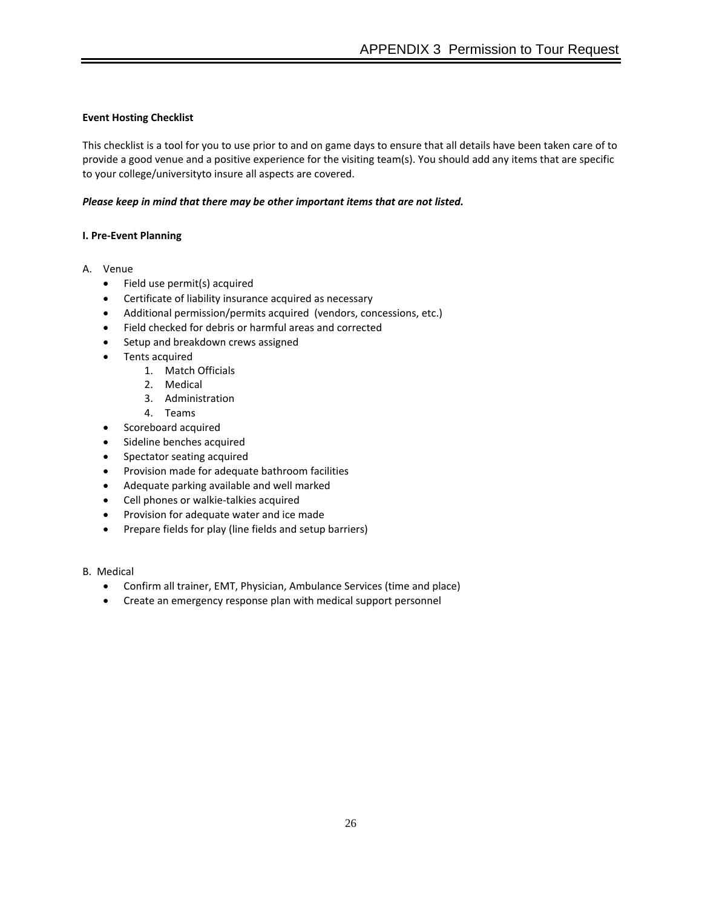# **Event Hosting Checklist**

This checklist is a tool for you to use prior to and on game days to ensure that all details have been taken care of to provide a good venue and a positive experience for the visiting team(s). You should add any items that are specific to your college/universityto insure all aspects are covered.

# *Please keep in mind that there may be other important items that are not listed.*

# **I. Pre-Event Planning**

- A. Venue
	- Field use permit(s) acquired
	- Certificate of liability insurance acquired as necessary
	- Additional permission/permits acquired (vendors, concessions, etc.)
	- Field checked for debris or harmful areas and corrected
	- Setup and breakdown crews assigned
	- Tents acquired
		- 1. Match Officials
		- 2. Medical
		- 3. Administration
		- 4. Teams
	- Scoreboard acquired
	- Sideline benches acquired
	- Spectator seating acquired
	- Provision made for adequate bathroom facilities
	- Adequate parking available and well marked
	- Cell phones or walkie-talkies acquired
	- Provision for adequate water and ice made
	- Prepare fields for play (line fields and setup barriers)
- B. Medical
	- Confirm all trainer, EMT, Physician, Ambulance Services (time and place)
	- Create an emergency response plan with medical support personnel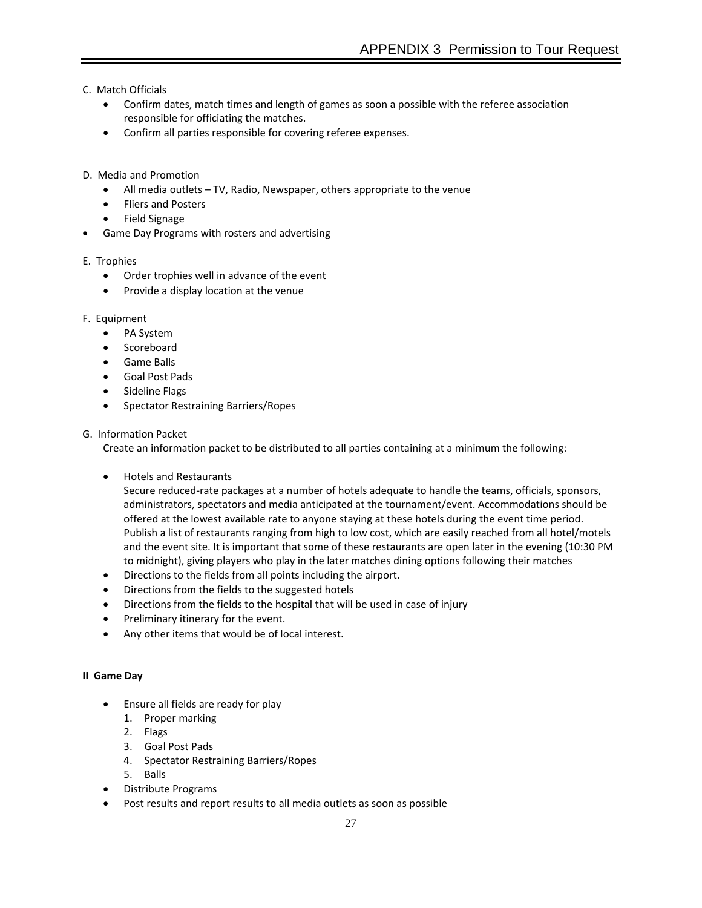C. Match Officials

- Confirm dates, match times and length of games as soon a possible with the referee association responsible for officiating the matches.
- Confirm all parties responsible for covering referee expenses.
- D. Media and Promotion
	- All media outlets TV, Radio, Newspaper, others appropriate to the venue
	- Fliers and Posters
	- Field Signage
- Game Day Programs with rosters and advertising

# E. Trophies

- Order trophies well in advance of the event
- Provide a display location at the venue

# F. Equipment

- PA System
- **Scoreboard**
- Game Balls
- Goal Post Pads
- Sideline Flags
- Spectator Restraining Barriers/Ropes

# G. Information Packet

Create an information packet to be distributed to all parties containing at a minimum the following:

• Hotels and Restaurants

Secure reduced-rate packages at a number of hotels adequate to handle the teams, officials, sponsors, administrators, spectators and media anticipated at the tournament/event. Accommodations should be offered at the lowest available rate to anyone staying at these hotels during the event time period. Publish a list of restaurants ranging from high to low cost, which are easily reached from all hotel/motels and the event site. It is important that some of these restaurants are open later in the evening (10:30 PM to midnight), giving players who play in the later matches dining options following their matches

- Directions to the fields from all points including the airport.
- Directions from the fields to the suggested hotels
- Directions from the fields to the hospital that will be used in case of injury
- Preliminary itinerary for the event.
- Any other items that would be of local interest.

# **II Game Day**

- Ensure all fields are ready for play
	- 1. Proper marking
	- 2. Flags
	- 3. Goal Post Pads
	- 4. Spectator Restraining Barriers/Ropes
	- 5. Balls
- Distribute Programs
- Post results and report results to all media outlets as soon as possible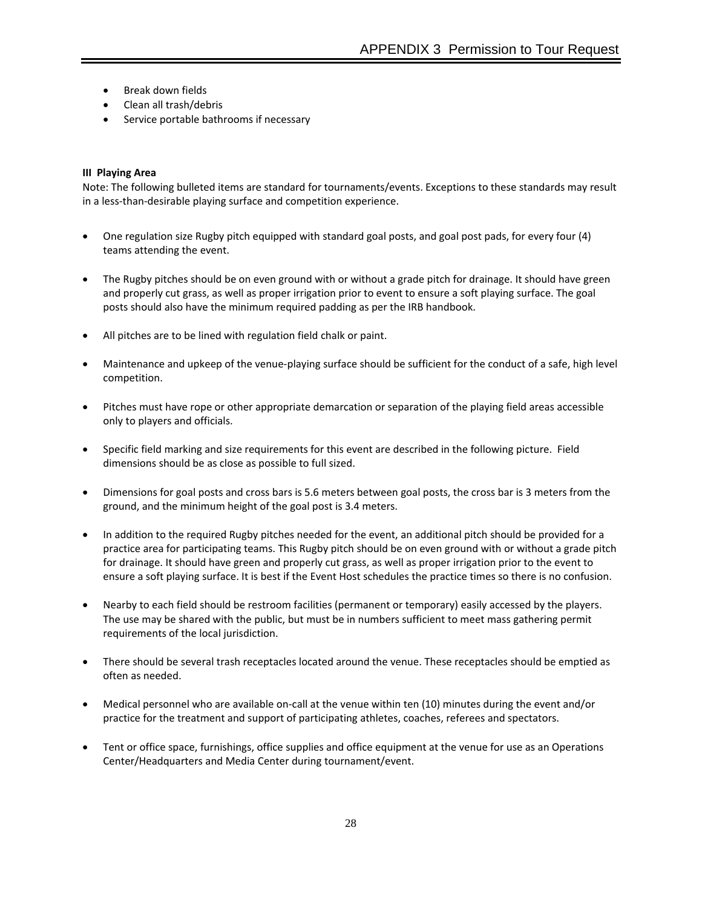- Break down fields
- Clean all trash/debris
- Service portable bathrooms if necessary

### **III Playing Area**

Note: The following bulleted items are standard for tournaments/events. Exceptions to these standards may result in a less-than-desirable playing surface and competition experience.

- One regulation size Rugby pitch equipped with standard goal posts, and goal post pads, for every four (4) teams attending the event.
- The Rugby pitches should be on even ground with or without a grade pitch for drainage. It should have green and properly cut grass, as well as proper irrigation prior to event to ensure a soft playing surface. The goal posts should also have the minimum required padding as per the IRB handbook.
- All pitches are to be lined with regulation field chalk or paint.
- Maintenance and upkeep of the venue-playing surface should be sufficient for the conduct of a safe, high level competition.
- Pitches must have rope or other appropriate demarcation or separation of the playing field areas accessible only to players and officials.
- Specific field marking and size requirements for this event are described in the following picture. Field dimensions should be as close as possible to full sized.
- Dimensions for goal posts and cross bars is 5.6 meters between goal posts, the cross bar is 3 meters from the ground, and the minimum height of the goal post is 3.4 meters.
- In addition to the required Rugby pitches needed for the event, an additional pitch should be provided for a practice area for participating teams. This Rugby pitch should be on even ground with or without a grade pitch for drainage. It should have green and properly cut grass, as well as proper irrigation prior to the event to ensure a soft playing surface. It is best if the Event Host schedules the practice times so there is no confusion.
- Nearby to each field should be restroom facilities (permanent or temporary) easily accessed by the players. The use may be shared with the public, but must be in numbers sufficient to meet mass gathering permit requirements of the local jurisdiction.
- There should be several trash receptacles located around the venue. These receptacles should be emptied as often as needed.
- Medical personnel who are available on-call at the venue within ten (10) minutes during the event and/or practice for the treatment and support of participating athletes, coaches, referees and spectators.
- Tent or office space, furnishings, office supplies and office equipment at the venue for use as an Operations Center/Headquarters and Media Center during tournament/event.